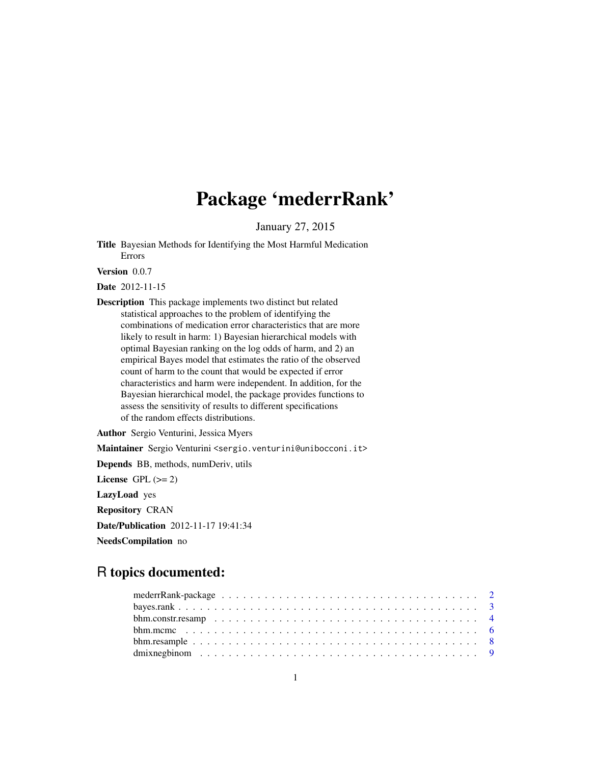# Package 'mederrRank'

January 27, 2015

<span id="page-0-0"></span>Title Bayesian Methods for Identifying the Most Harmful Medication Errors

Version 0.0.7

Date 2012-11-15

Description This package implements two distinct but related statistical approaches to the problem of identifying the combinations of medication error characteristics that are more likely to result in harm: 1) Bayesian hierarchical models with optimal Bayesian ranking on the log odds of harm, and 2) an empirical Bayes model that estimates the ratio of the observed count of harm to the count that would be expected if error characteristics and harm were independent. In addition, for the Bayesian hierarchical model, the package provides functions to assess the sensitivity of results to different specifications of the random effects distributions.

Author Sergio Venturini, Jessica Myers

Maintainer Sergio Venturini <sergio.venturini@unibocconi.it>

Depends BB, methods, numDeriv, utils

License GPL  $(>= 2)$ 

LazyLoad yes

Repository CRAN

Date/Publication 2012-11-17 19:41:34

NeedsCompilation no

## R topics documented: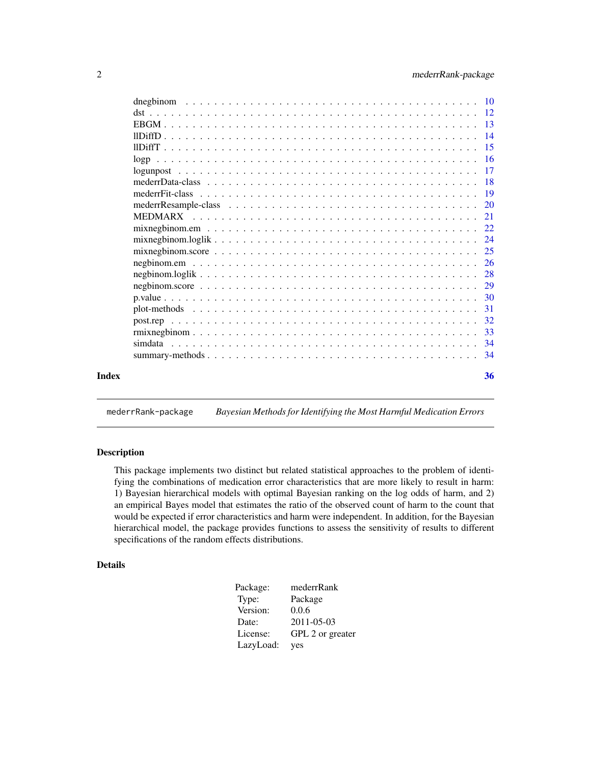<span id="page-1-0"></span>

| mederi Data-class $\ldots \ldots \ldots \ldots \ldots \ldots \ldots \ldots \ldots \ldots \ldots \ldots \ldots$ |  |
|----------------------------------------------------------------------------------------------------------------|--|
|                                                                                                                |  |
|                                                                                                                |  |
|                                                                                                                |  |
|                                                                                                                |  |
|                                                                                                                |  |
|                                                                                                                |  |
|                                                                                                                |  |

mederrRank-package *Bayesian Methods for Identifying the Most Harmful Medication Errors*

### <span id="page-1-1"></span>Description

This package implements two distinct but related statistical approaches to the problem of identifying the combinations of medication error characteristics that are more likely to result in harm: 1) Bayesian hierarchical models with optimal Bayesian ranking on the log odds of harm, and 2) an empirical Bayes model that estimates the ratio of the observed count of harm to the count that would be expected if error characteristics and harm were independent. In addition, for the Bayesian hierarchical model, the package provides functions to assess the sensitivity of results to different specifications of the random effects distributions.

### Details

| Package:  | mederrRank       |
|-----------|------------------|
| Type:     | Package          |
| Version:  | 0.0.6            |
| Date:     | $2011 - 05 - 03$ |
| License:  | GPL 2 or greater |
| LazyLoad: | yes              |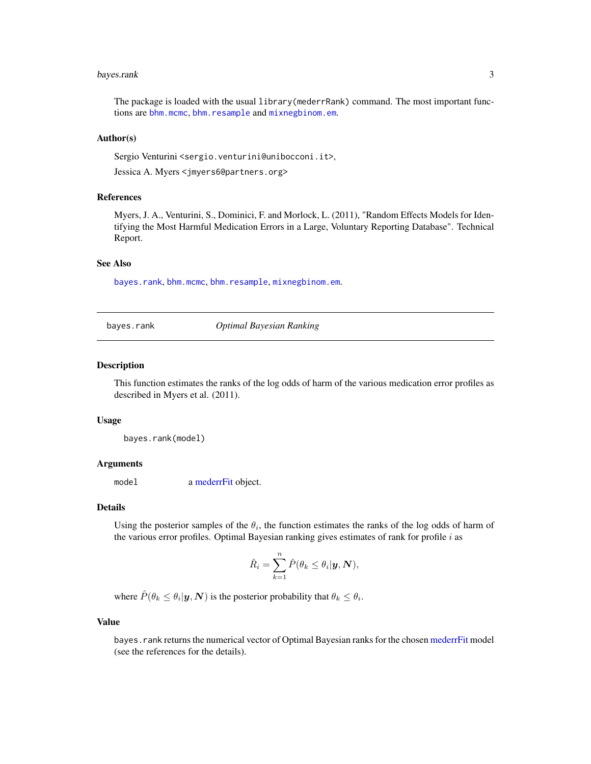#### <span id="page-2-0"></span>bayes.rank 3

The package is loaded with the usual library(mederrRank) command. The most important functions are [bhm.mcmc](#page-5-1), [bhm.resample](#page-7-1) and [mixnegbinom.em](#page-21-1).

#### Author(s)

Sergio Venturini <sergio.venturini@unibocconi.it>,

Jessica A. Myers <jmyers6@partners.org>

### References

Myers, J. A., Venturini, S., Dominici, F. and Morlock, L. (2011), "Random Effects Models for Identifying the Most Harmful Medication Errors in a Large, Voluntary Reporting Database". Technical Report.

#### See Also

[bayes.rank](#page-2-1), [bhm.mcmc](#page-5-1), [bhm.resample](#page-7-1), [mixnegbinom.em](#page-21-1).

<span id="page-2-1"></span>bayes.rank *Optimal Bayesian Ranking*

### **Description**

This function estimates the ranks of the log odds of harm of the various medication error profiles as described in Myers et al. (2011).

#### Usage

bayes.rank(model)

#### Arguments

model a [mederrFit](#page-18-1) object.

#### Details

Using the posterior samples of the  $\theta_i$ , the function estimates the ranks of the log odds of harm of the various error profiles. Optimal Bayesian ranking gives estimates of rank for profile  $i$  as

$$
\hat{R}_i = \sum_{k=1}^n \hat{P}(\theta_k \le \theta_i | \mathbf{y}, \mathbf{N}),
$$

where  $\hat{P}(\theta_k \leq \theta_i | \mathbf{y}, \mathbf{N})$  is the posterior probability that  $\theta_k \leq \theta_i$ .

### Value

bayes.rank returns the numerical vector of Optimal Bayesian ranks for the chosen [mederrFit](#page-18-1) model (see the references for the details).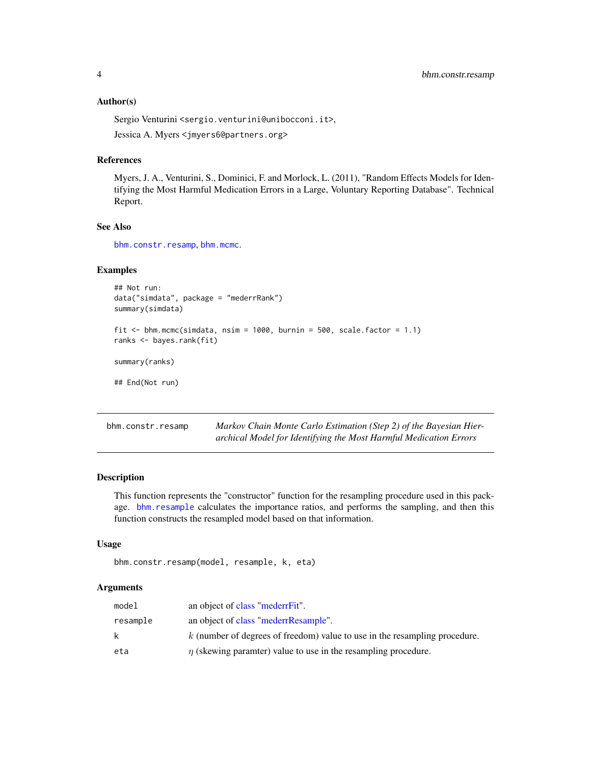#### <span id="page-3-0"></span>Author(s)

Sergio Venturini <sergio.venturini@unibocconi.it>,

Jessica A. Myers <jmyers6@partners.org>

#### References

Myers, J. A., Venturini, S., Dominici, F. and Morlock, L. (2011), "Random Effects Models for Identifying the Most Harmful Medication Errors in a Large, Voluntary Reporting Database". Technical Report.

#### See Also

[bhm.constr.resamp](#page-3-1), [bhm.mcmc](#page-5-1).

### Examples

```
## Not run:
 data("simdata", package = "mederrRank")
 summary(simdata)
 fit \le bhm.mcmc(simdata, nsim = 1000, burnin = 500, scale.factor = 1.1)
 ranks <- bayes.rank(fit)
 summary(ranks)
 ## End(Not run)
bhm.constr.resamp Markov Chain Monte Carlo Estimation (Step 2) of the Bayesian Hier-
```
### <span id="page-3-1"></span>Description

This function represents the "constructor" function for the resampling procedure used in this package. [bhm.resample](#page-7-1) calculates the importance ratios, and performs the sampling, and then this function constructs the resampled model based on that information.

*archical Model for Identifying the Most Harmful Medication Errors*

#### Usage

```
bhm.constr.resamp(model, resample, k, eta)
```
#### Arguments

| model    | an object of class "mederrFit".                                              |
|----------|------------------------------------------------------------------------------|
| resample | an object of class "mederrResample".                                         |
| k.       | $k$ (number of degrees of freedom) value to use in the resampling procedure. |
| eta      | $\eta$ (skewing paramter) value to use in the resampling procedure.          |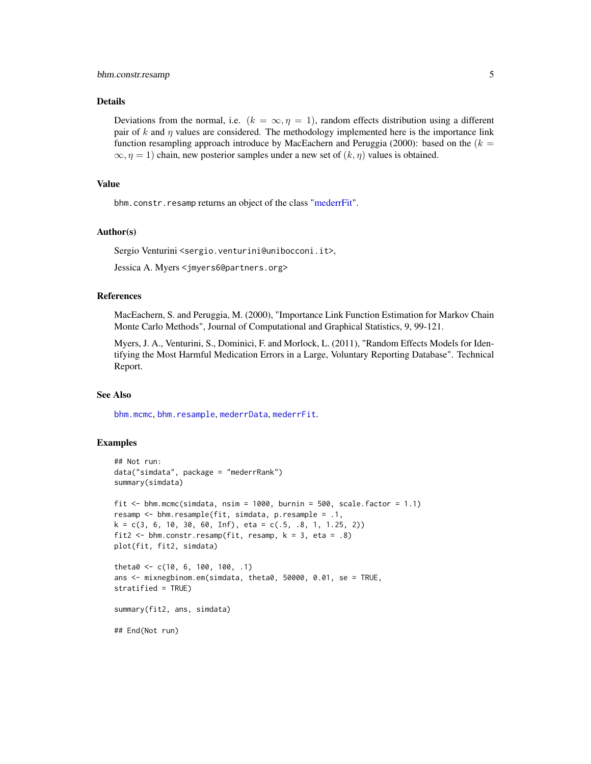### <span id="page-4-0"></span>bhm.constr.resamp 5

### Details

Deviations from the normal, i.e.  $(k = \infty, \eta = 1)$ , random effects distribution using a different pair of k and  $\eta$  values are considered. The methodology implemented here is the importance link function resampling approach introduce by MacEachern and Peruggia (2000): based on the  $(k = 1)$  $\infty$ ,  $\eta = 1$ ) chain, new posterior samples under a new set of  $(k, \eta)$  values is obtained.

#### Value

bhm.constr.resamp returns an object of the class ["mederrFit"](#page-18-1).

#### Author(s)

Sergio Venturini <sergio.venturini@unibocconi.it>,

Jessica A. Myers <jmyers6@partners.org>

### References

MacEachern, S. and Peruggia, M. (2000), "Importance Link Function Estimation for Markov Chain Monte Carlo Methods", Journal of Computational and Graphical Statistics, 9, 99-121.

Myers, J. A., Venturini, S., Dominici, F. and Morlock, L. (2011), "Random Effects Models for Identifying the Most Harmful Medication Errors in a Large, Voluntary Reporting Database". Technical Report.

#### See Also

[bhm.mcmc](#page-5-1), [bhm.resample](#page-7-1), [mederrData](#page-17-1), [mederrFit](#page-18-1).

### Examples

```
## Not run:
data("simdata", package = "mederrRank")
summary(simdata)
fit \le bhm.mcmc(simdata, nsim = 1000, burnin = 500, scale.factor = 1.1)
resamp <- bhm.resample(fit, simdata, p.resample = .1,
k = c(3, 6, 10, 30, 60, Inf), eta = c(.5, .8, 1, 1.25, 2))fit2 <- bhm.constr.resamp(fit, resamp, k = 3, eta = .8)
plot(fit, fit2, simdata)
theta0 <- c(10, 6, 100, 100, .1)
ans <- mixnegbinom.em(simdata, theta0, 50000, 0.01, se = TRUE,
stratified = TRUE)
summary(fit2, ans, simdata)
## End(Not run)
```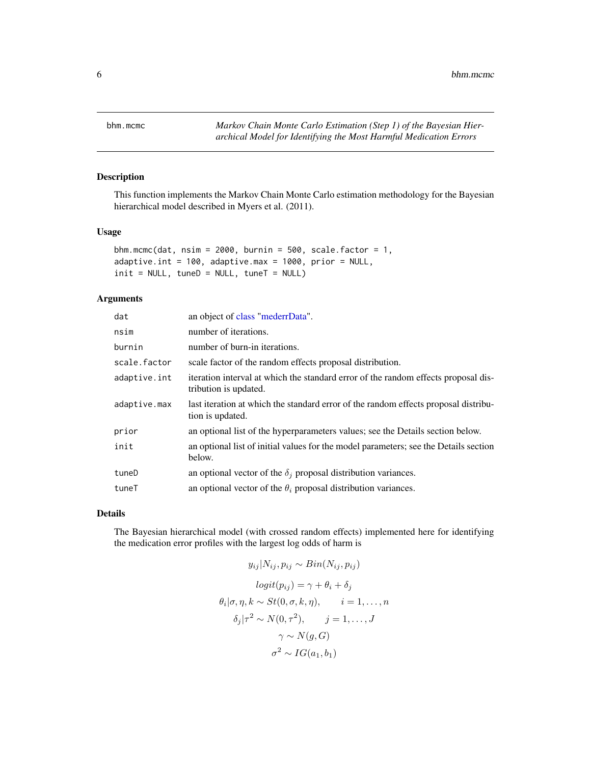<span id="page-5-1"></span><span id="page-5-0"></span>

This function implements the Markov Chain Monte Carlo estimation methodology for the Bayesian hierarchical model described in Myers et al. (2011).

#### Usage

```
bhm.mcmc(dat, nsim = 2000, burnin = 500, scale.factor = 1,
adaptive.int = 100, adaptive.max = 1000, prior = NULL,
init = NULL, tuneD = NULL, tuneT = NULL)
```
### Arguments

| an object of class "mederrData".                                                                            |
|-------------------------------------------------------------------------------------------------------------|
| number of iterations.                                                                                       |
| number of burn-in iterations.                                                                               |
| scale factor of the random effects proposal distribution.                                                   |
| iteration interval at which the standard error of the random effects proposal dis-<br>tribution is updated. |
| last iteration at which the standard error of the random effects proposal distribu-<br>tion is updated.     |
| an optional list of the hyperparameters values; see the Details section below.                              |
| an optional list of initial values for the model parameters; see the Details section<br>below.              |
| an optional vector of the $\delta_i$ proposal distribution variances.                                       |
| an optional vector of the $\theta_i$ proposal distribution variances.                                       |
|                                                                                                             |

### Details

The Bayesian hierarchical model (with crossed random effects) implemented here for identifying the medication error profiles with the largest log odds of harm is

$$
y_{ij}|N_{ij}, p_{ij} \sim Bin(N_{ij}, p_{ij})
$$

$$
logit(p_{ij}) = \gamma + \theta_i + \delta_j
$$

$$
\theta_i|\sigma, \eta, k \sim St(0, \sigma, k, \eta), \qquad i = 1, ..., n
$$

$$
\delta_j|\tau^2 \sim N(0, \tau^2), \qquad j = 1, ..., J
$$

$$
\gamma \sim N(g, G)
$$

$$
\sigma^2 \sim IG(a_1, b_1)
$$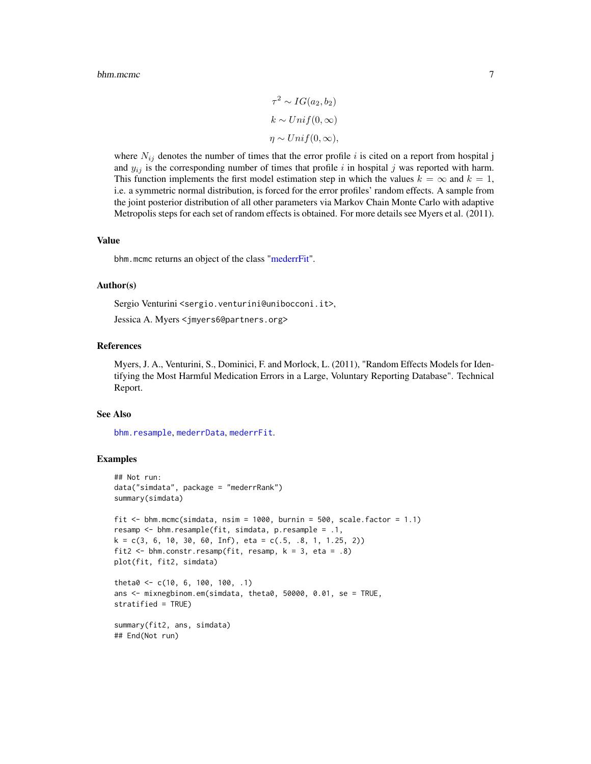#### <span id="page-6-0"></span>bhm.mcmc 7

$$
\tau^2 \sim IG(a_2, b_2)
$$
  
\n
$$
k \sim Unif(0, \infty)
$$
  
\n
$$
\eta \sim Unif(0, \infty),
$$

where  $N_{ij}$  denotes the number of times that the error profile i is cited on a report from hospital j and  $y_{ij}$  is the corresponding number of times that profile i in hospital j was reported with harm. This function implements the first model estimation step in which the values  $k = \infty$  and  $k = 1$ , i.e. a symmetric normal distribution, is forced for the error profiles' random effects. A sample from the joint posterior distribution of all other parameters via Markov Chain Monte Carlo with adaptive Metropolis steps for each set of random effects is obtained. For more details see Myers et al. (2011).

#### Value

bhm.mcmc returns an object of the class ["mederrFit"](#page-18-1).

#### Author(s)

Sergio Venturini <sergio.venturini@unibocconi.it>,

Jessica A. Myers <jmyers6@partners.org>

#### References

Myers, J. A., Venturini, S., Dominici, F. and Morlock, L. (2011), "Random Effects Models for Identifying the Most Harmful Medication Errors in a Large, Voluntary Reporting Database". Technical Report.

#### See Also

[bhm.resample](#page-7-1), [mederrData](#page-17-1), [mederrFit](#page-18-1).

#### Examples

```
## Not run:
data("simdata", package = "mederrRank")
summary(simdata)
fit \le bhm.mcmc(simdata, nsim = 1000, burnin = 500, scale.factor = 1.1)
resamp <- bhm.resample(fit, simdata, p.resample = .1,
k = c(3, 6, 10, 30, 60, Inf), eta = c(.5, .8, 1, 1.25, 2))fit2 <- bhm.constr.resamp(fit, resamp, k = 3, eta = .8)
plot(fit, fit2, simdata)
theta0 \leq c(10, 6, 100, 100, .1)ans <- mixnegbinom.em(simdata, theta0, 50000, 0.01, se = TRUE,
stratified = TRUE)
summary(fit2, ans, simdata)
```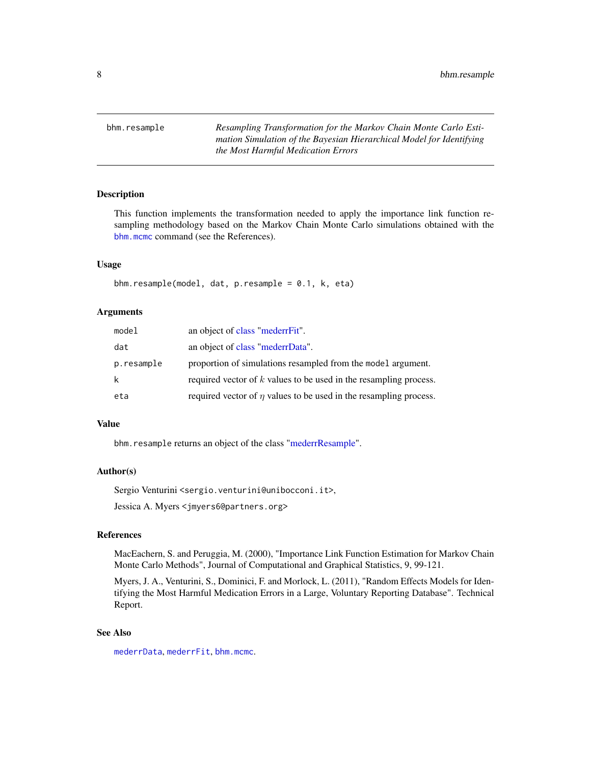<span id="page-7-1"></span><span id="page-7-0"></span>bhm.resample *Resampling Transformation for the Markov Chain Monte Carlo Estimation Simulation of the Bayesian Hierarchical Model for Identifying the Most Harmful Medication Errors*

### Description

This function implements the transformation needed to apply the importance link function resampling methodology based on the Markov Chain Monte Carlo simulations obtained with the [bhm.mcmc](#page-5-1) command (see the References).

#### Usage

bhm.resample(model, dat, p.resample = 0.1, k, eta)

#### Arguments

| model      | an object of class "mederrFit".                                        |
|------------|------------------------------------------------------------------------|
| dat        | an object of class "mederrData".                                       |
| p.resample | proportion of simulations resampled from the model argument.           |
| k          | required vector of $k$ values to be used in the resampling process.    |
| eta        | required vector of $\eta$ values to be used in the resampling process. |

### Value

bhm.resample returns an object of the class ["mederrResample"](#page-19-1).

### Author(s)

Sergio Venturini <sergio.venturini@unibocconi.it>,

Jessica A. Myers <jmyers6@partners.org>

### References

MacEachern, S. and Peruggia, M. (2000), "Importance Link Function Estimation for Markov Chain Monte Carlo Methods", Journal of Computational and Graphical Statistics, 9, 99-121.

Myers, J. A., Venturini, S., Dominici, F. and Morlock, L. (2011), "Random Effects Models for Identifying the Most Harmful Medication Errors in a Large, Voluntary Reporting Database". Technical Report.

### See Also

[mederrData](#page-17-1), [mederrFit](#page-18-1), [bhm.mcmc](#page-5-1).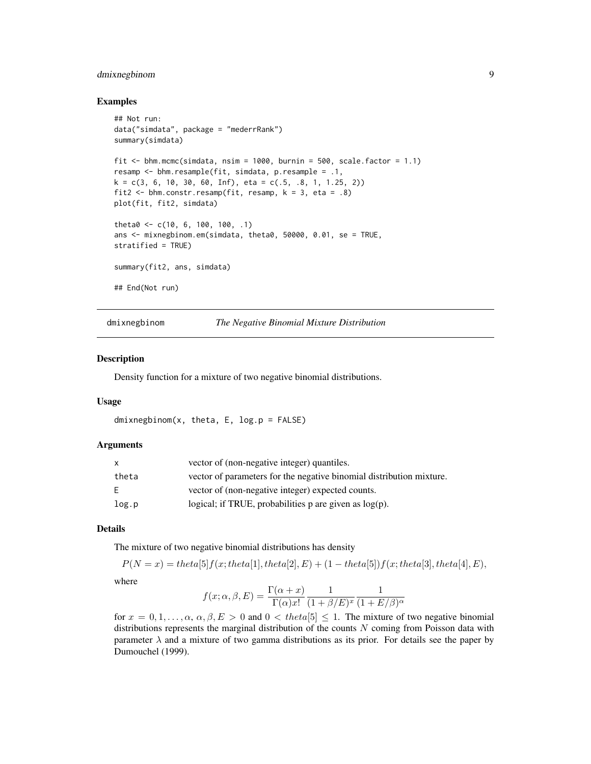### <span id="page-8-0"></span>dmixnegbinom 9

#### Examples

```
## Not run:
data("simdata", package = "mederrRank")
summary(simdata)
fit \le bhm.mcmc(simdata, nsim = 1000, burnin = 500, scale.factor = 1.1)
resamp <- bhm.resample(fit, simdata, p.resample = .1,
k = c(3, 6, 10, 30, 60, Inf), eta = c(.5, .8, 1, 1.25, 2))fit2 \le bhm.constr.resamp(fit, resamp, k = 3, eta = .8)
plot(fit, fit2, simdata)
theta0 <- c(10, 6, 100, 100, .1)
ans <- mixnegbinom.em(simdata, theta0, 50000, 0.01, se = TRUE,
stratified = TRUE)
summary(fit2, ans, simdata)
## End(Not run)
```
#### dmixnegbinom *The Negative Binomial Mixture Distribution*

#### Description

Density function for a mixture of two negative binomial distributions.

#### Usage

```
dmixnegbinom(x, theta, E, log.p = FALSE)
```
#### Arguments

| X     | vector of (non-negative integer) quantiles.                          |
|-------|----------------------------------------------------------------------|
| theta | vector of parameters for the negative binomial distribution mixture. |
| F.    | vector of (non-negative integer) expected counts.                    |
| log.p | logical; if TRUE, probabilities $p$ are given as $log(p)$ .          |

### Details

The mixture of two negative binomial distributions has density

$$
P(N = x) = theta[5]f(x; theta[1], theta[2], E) + (1 - theta[5])f(x; theta[3], theta[4], E),
$$

where

$$
f(x; \alpha, \beta, E) = \frac{\Gamma(\alpha + x)}{\Gamma(\alpha)x!} \frac{1}{(1 + \beta/E)^x} \frac{1}{(1 + E/\beta)^{\alpha}}
$$

for  $x = 0, 1, \ldots, \alpha, \alpha, \beta, E > 0$  and  $0 < theta[5] \le 1$ . The mixture of two negative binomial distributions represents the marginal distribution of the counts  $N$  coming from Poisson data with parameter  $\lambda$  and a mixture of two gamma distributions as its prior. For details see the paper by Dumouchel (1999).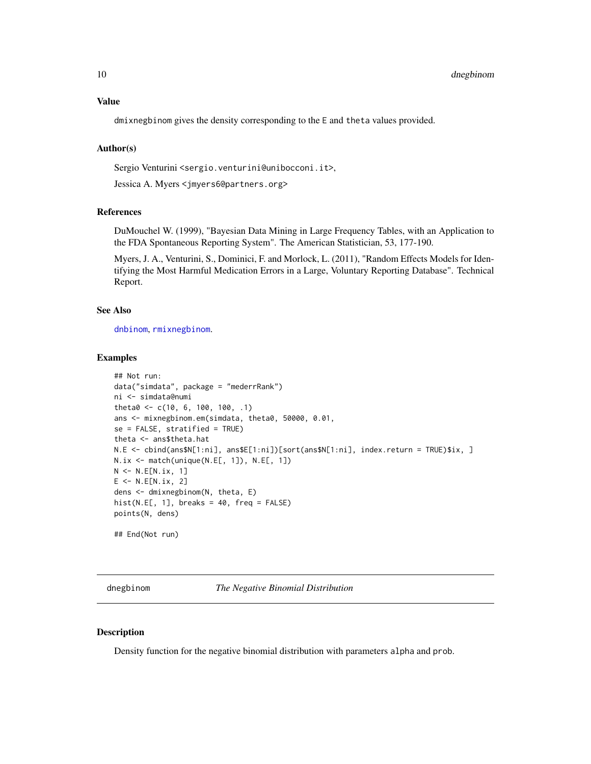### <span id="page-9-0"></span>Value

dmixnegbinom gives the density corresponding to the E and theta values provided.

#### Author(s)

Sergio Venturini <sergio.venturini@unibocconi.it>,

Jessica A. Myers <jmyers6@partners.org>

### References

DuMouchel W. (1999), "Bayesian Data Mining in Large Frequency Tables, with an Application to the FDA Spontaneous Reporting System". The American Statistician, 53, 177-190.

Myers, J. A., Venturini, S., Dominici, F. and Morlock, L. (2011), "Random Effects Models for Identifying the Most Harmful Medication Errors in a Large, Voluntary Reporting Database". Technical Report.

#### See Also

[dnbinom](#page-0-0), [rmixnegbinom](#page-32-1).

#### Examples

```
## Not run:
data("simdata", package = "mederrRank")
ni <- simdata@numi
theta0 <- c(10, 6, 100, 100, .1)
ans <- mixnegbinom.em(simdata, theta0, 50000, 0.01,
se = FALSE, stratified = TRUE)
theta <- ans$theta.hat
N.E <- cbind(ans$N[1:ni], ans$E[1:ni])[sort(ans$N[1:ni], index.return = TRUE)$ix, ]
N.ix \leftarrow match(unique(N.E[, 1]), N.E[, 1])N <- N.E[N.ix, 1]
E \leftarrow N.E[N.ix, 2]dens <- dmixnegbinom(N, theta, E)
hist(N.E[, 1], breaks = 40, freq = FALSE)
points(N, dens)
## End(Not run)
```
<span id="page-9-1"></span>dnegbinom *The Negative Binomial Distribution*

### **Description**

Density function for the negative binomial distribution with parameters alpha and prob.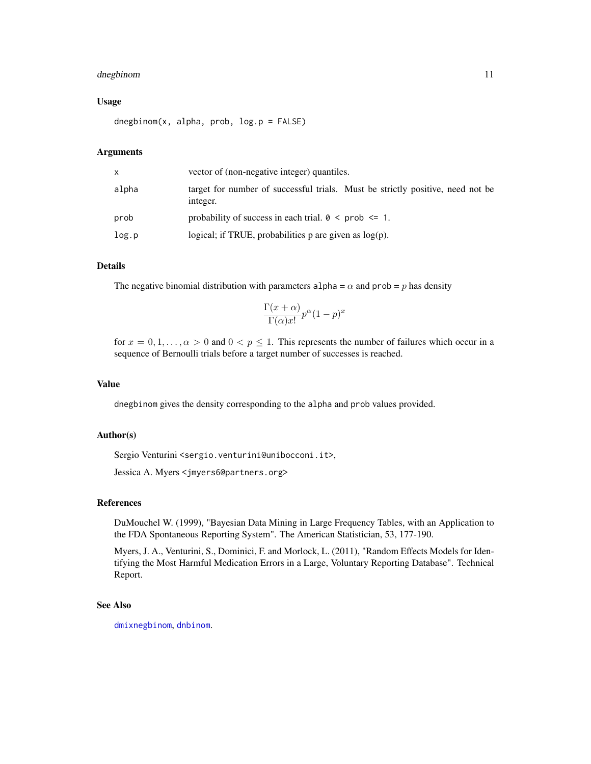### <span id="page-10-0"></span>dnegbinom 11

#### Usage

dnegbinom(x, alpha, prob, log.p = FALSE)

#### **Arguments**

| x     | vector of (non-negative integer) quantiles.                                                |
|-------|--------------------------------------------------------------------------------------------|
| alpha | target for number of successful trials. Must be strictly positive, need not be<br>integer. |
| prob  | probability of success in each trial. $0 \leq$ prob $\leq 1$ .                             |
| log.p | logical; if TRUE, probabilities $p$ are given as $log(p)$ .                                |

### Details

The negative binomial distribution with parameters alpha =  $\alpha$  and prob = p has density

$$
\frac{\Gamma(x+\alpha)}{\Gamma(\alpha)x!}p^{\alpha}(1-p)^{x}
$$

for  $x = 0, 1, \ldots, \alpha > 0$  and  $0 < p \le 1$ . This represents the number of failures which occur in a sequence of Bernoulli trials before a target number of successes is reached.

#### Value

dnegbinom gives the density corresponding to the alpha and prob values provided.

#### Author(s)

Sergio Venturini <sergio.venturini@unibocconi.it>,

Jessica A. Myers <jmyers6@partners.org>

#### References

DuMouchel W. (1999), "Bayesian Data Mining in Large Frequency Tables, with an Application to the FDA Spontaneous Reporting System". The American Statistician, 53, 177-190.

Myers, J. A., Venturini, S., Dominici, F. and Morlock, L. (2011), "Random Effects Models for Identifying the Most Harmful Medication Errors in a Large, Voluntary Reporting Database". Technical Report.

#### See Also

[dmixnegbinom](#page-8-1), [dnbinom](#page-0-0).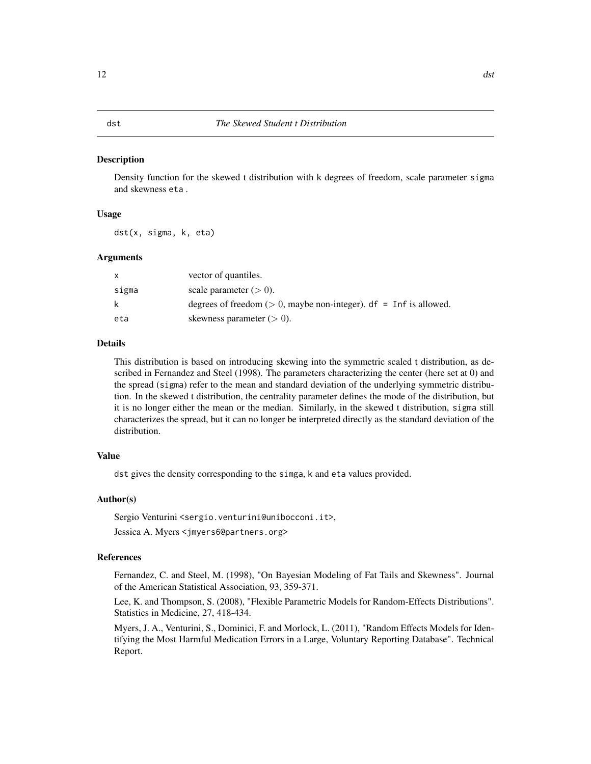<span id="page-11-0"></span>Density function for the skewed t distribution with k degrees of freedom, scale parameter sigma and skewness eta .

#### Usage

dst(x, sigma, k, eta)

#### Arguments

| x     | vector of quantiles.                                                  |
|-------|-----------------------------------------------------------------------|
| sigma | scale parameter $(> 0)$ .                                             |
| k     | degrees of freedom ( $> 0$ , maybe non-integer). df = Inf is allowed. |
| eta   | skewness parameter $(> 0)$ .                                          |

#### Details

This distribution is based on introducing skewing into the symmetric scaled t distribution, as described in Fernandez and Steel (1998). The parameters characterizing the center (here set at 0) and the spread (sigma) refer to the mean and standard deviation of the underlying symmetric distribution. In the skewed t distribution, the centrality parameter defines the mode of the distribution, but it is no longer either the mean or the median. Similarly, in the skewed t distribution, sigma still characterizes the spread, but it can no longer be interpreted directly as the standard deviation of the distribution.

### Value

dst gives the density corresponding to the simga, k and eta values provided.

### Author(s)

Sergio Venturini <sergio.venturini@unibocconi.it>,

Jessica A. Myers <jmyers6@partners.org>

#### References

Fernandez, C. and Steel, M. (1998), "On Bayesian Modeling of Fat Tails and Skewness". Journal of the American Statistical Association, 93, 359-371.

Lee, K. and Thompson, S. (2008), "Flexible Parametric Models for Random-Effects Distributions". Statistics in Medicine, 27, 418-434.

Myers, J. A., Venturini, S., Dominici, F. and Morlock, L. (2011), "Random Effects Models for Identifying the Most Harmful Medication Errors in a Large, Voluntary Reporting Database". Technical Report.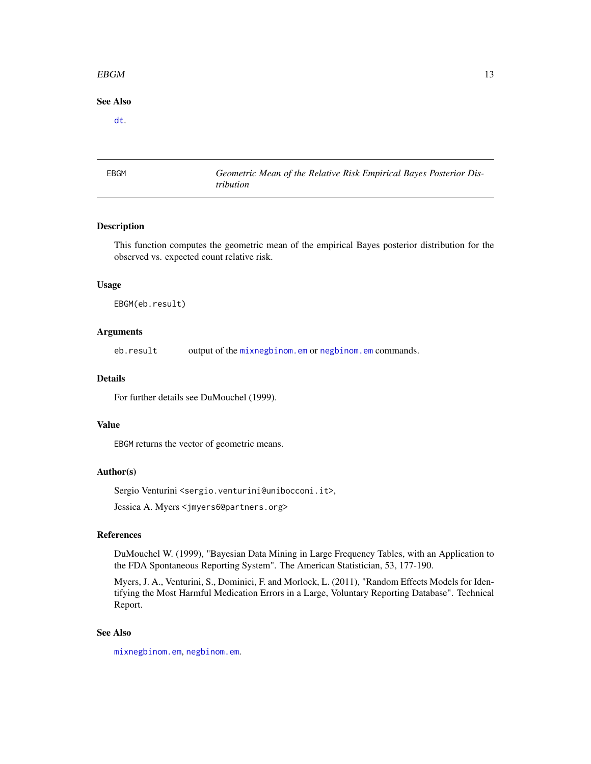#### <span id="page-12-0"></span> $EBGM$  13

### See Also

[dt](#page-0-0).

<span id="page-12-1"></span>EBGM *Geometric Mean of the Relative Risk Empirical Bayes Posterior Distribution*

### Description

This function computes the geometric mean of the empirical Bayes posterior distribution for the observed vs. expected count relative risk.

### Usage

EBGM(eb.result)

#### Arguments

eb.result output of the [mixnegbinom.em](#page-21-1) or [negbinom.em](#page-25-1) commands.

#### Details

For further details see DuMouchel (1999).

#### Value

EBGM returns the vector of geometric means.

### Author(s)

Sergio Venturini <sergio.venturini@unibocconi.it>,

Jessica A. Myers <jmyers6@partners.org>

### References

DuMouchel W. (1999), "Bayesian Data Mining in Large Frequency Tables, with an Application to the FDA Spontaneous Reporting System". The American Statistician, 53, 177-190.

Myers, J. A., Venturini, S., Dominici, F. and Morlock, L. (2011), "Random Effects Models for Identifying the Most Harmful Medication Errors in a Large, Voluntary Reporting Database". Technical Report.

### See Also

[mixnegbinom.em](#page-21-1), [negbinom.em](#page-25-1).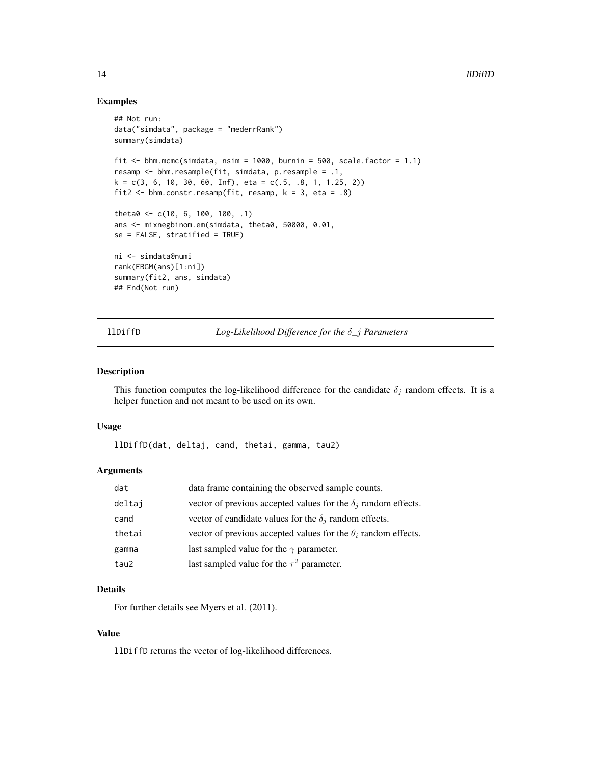#### Examples

```
## Not run:
data("simdata", package = "mederrRank")
summary(simdata)
fit \le bhm.mcmc(simdata, nsim = 1000, burnin = 500, scale.factor = 1.1)
resamp <- bhm.resample(fit, simdata, p.resample = .1,
k = c(3, 6, 10, 30, 60, Inf), eta = c(.5, .8, 1, 1.25, 2))
fit2 \leftarrow bhm.constr.resamp(fit, resamp, k = 3, eta = .8)
theta0 <- c(10, 6, 100, 100, .1)
ans <- mixnegbinom.em(simdata, theta0, 50000, 0.01,
se = FALSE, stratified = TRUE)
ni <- simdata@numi
rank(EBGM(ans)[1:ni])
summary(fit2, ans, simdata)
## End(Not run)
```
llDiffD *Log-Likelihood Difference for the* δ*\_*j *Parameters*

## Description

This function computes the log-likelihood difference for the candidate  $\delta_j$  random effects. It is a helper function and not meant to be used on its own.

#### Usage

llDiffD(dat, deltaj, cand, thetai, gamma, tau2)

### Arguments

| dat    | data frame containing the observed sample counts.                     |
|--------|-----------------------------------------------------------------------|
| deltaj | vector of previous accepted values for the $\delta_i$ random effects. |
| cand   | vector of candidate values for the $\delta_i$ random effects.         |
| thetai | vector of previous accepted values for the $\theta_i$ random effects. |
| gamma  | last sampled value for the $\gamma$ parameter.                        |
| tau2   | last sampled value for the $\tau^2$ parameter.                        |

### Details

For further details see Myers et al. (2011).

### Value

llDiffD returns the vector of log-likelihood differences.

<span id="page-13-0"></span>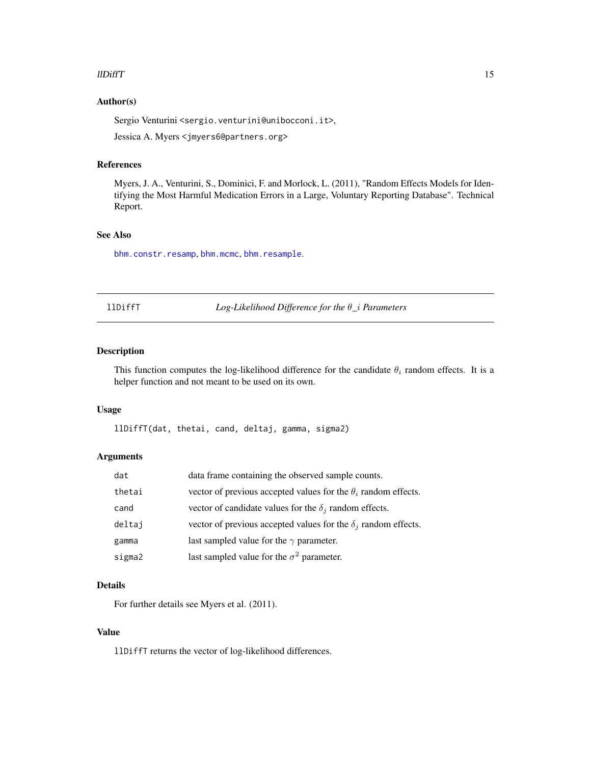#### <span id="page-14-0"></span> $\blacksquare$

### Author(s)

Sergio Venturini <sergio.venturini@unibocconi.it>,

Jessica A. Myers <jmyers6@partners.org>

### References

Myers, J. A., Venturini, S., Dominici, F. and Morlock, L. (2011), "Random Effects Models for Identifying the Most Harmful Medication Errors in a Large, Voluntary Reporting Database". Technical Report.

### See Also

[bhm.constr.resamp](#page-3-1), [bhm.mcmc](#page-5-1), [bhm.resample](#page-7-1).

|--|--|--|--|--|--|

llDiffT *Log-Likelihood Difference for the* θ*\_*i *Parameters*

### Description

This function computes the log-likelihood difference for the candidate  $\theta_i$  random effects. It is a helper function and not meant to be used on its own.

#### Usage

llDiffT(dat, thetai, cand, deltaj, gamma, sigma2)

### Arguments

| dat    | data frame containing the observed sample counts.                     |
|--------|-----------------------------------------------------------------------|
| thetai | vector of previous accepted values for the $\theta_i$ random effects. |
| cand   | vector of candidate values for the $\delta_i$ random effects.         |
| deltaj | vector of previous accepted values for the $\delta_i$ random effects. |
| gamma  | last sampled value for the $\gamma$ parameter.                        |
| sigma2 | last sampled value for the $\sigma^2$ parameter.                      |

### Details

For further details see Myers et al. (2011).

### Value

llDiffT returns the vector of log-likelihood differences.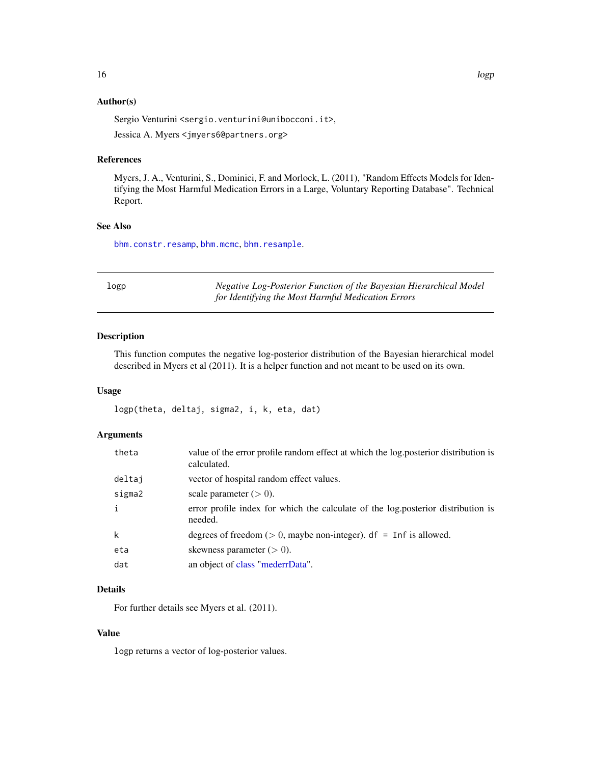### <span id="page-15-0"></span>Author(s)

Sergio Venturini <sergio.venturini@unibocconi.it>,

Jessica A. Myers <jmyers6@partners.org>

### References

Myers, J. A., Venturini, S., Dominici, F. and Morlock, L. (2011), "Random Effects Models for Identifying the Most Harmful Medication Errors in a Large, Voluntary Reporting Database". Technical Report.

### See Also

[bhm.constr.resamp](#page-3-1), [bhm.mcmc](#page-5-1), [bhm.resample](#page-7-1).

| logp | Negative Log-Posterior Function of the Bayesian Hierarchical Model |
|------|--------------------------------------------------------------------|
|      | for Identifying the Most Harmful Medication Errors                 |

### Description

This function computes the negative log-posterior distribution of the Bayesian hierarchical model described in Myers et al (2011). It is a helper function and not meant to be used on its own.

#### Usage

```
logp(theta, deltaj, sigma2, i, k, eta, dat)
```
### Arguments

| theta        | value of the error profile random effect at which the log.posterior distribution is<br>calculated. |
|--------------|----------------------------------------------------------------------------------------------------|
| deltaj       | vector of hospital random effect values.                                                           |
| sigma2       | scale parameter $(> 0)$ .                                                                          |
| $\mathbf{i}$ | error profile index for which the calculate of the log.posterior distribution is<br>needed.        |
| $\mathsf{k}$ | degrees of freedom ( $> 0$ , maybe non-integer). df = Inf is allowed.                              |
| eta          | skewness parameter $(> 0)$ .                                                                       |
| dat          | an object of class "mederrData".                                                                   |

## Details

For further details see Myers et al. (2011).

### Value

logp returns a vector of log-posterior values.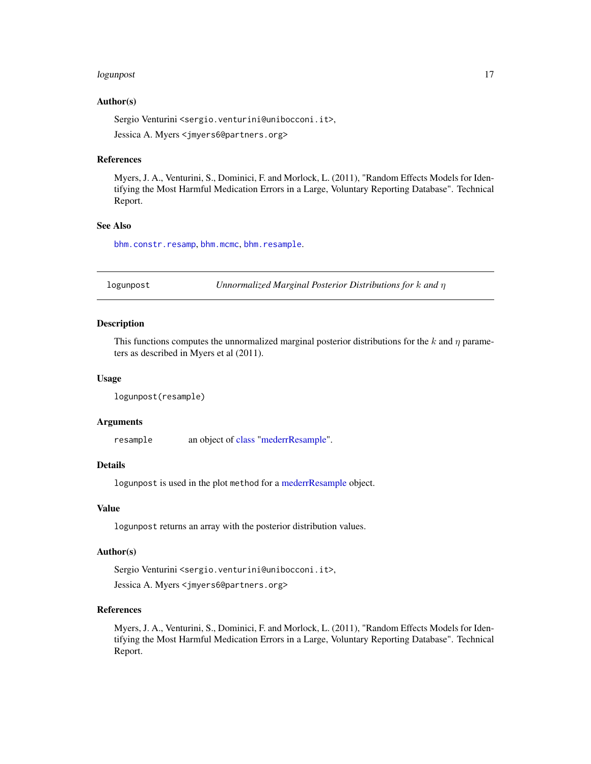#### <span id="page-16-0"></span>logunpost 17

#### Author(s)

Sergio Venturini <sergio.venturini@unibocconi.it>,

Jessica A. Myers <jmyers6@partners.org>

#### References

Myers, J. A., Venturini, S., Dominici, F. and Morlock, L. (2011), "Random Effects Models for Identifying the Most Harmful Medication Errors in a Large, Voluntary Reporting Database". Technical Report.

#### See Also

[bhm.constr.resamp](#page-3-1), [bhm.mcmc](#page-5-1), [bhm.resample](#page-7-1).

logunpost *Unnormalized Marginal Posterior Distributions for* k *and* η

### Description

This functions computes the unnormalized marginal posterior distributions for the k and  $\eta$  parameters as described in Myers et al (2011).

#### Usage

```
logunpost(resample)
```
#### **Arguments**

resample an object of [class](#page-0-0) ["mederrResample"](#page-19-1).

#### Details

logunpost is used in the plot method for a [mederrResample](#page-19-1) object.

### Value

logunpost returns an array with the posterior distribution values.

#### Author(s)

Sergio Venturini <sergio.venturini@unibocconi.it>, Jessica A. Myers <jmyers6@partners.org>

### References

Myers, J. A., Venturini, S., Dominici, F. and Morlock, L. (2011), "Random Effects Models for Identifying the Most Harmful Medication Errors in a Large, Voluntary Reporting Database". Technical Report.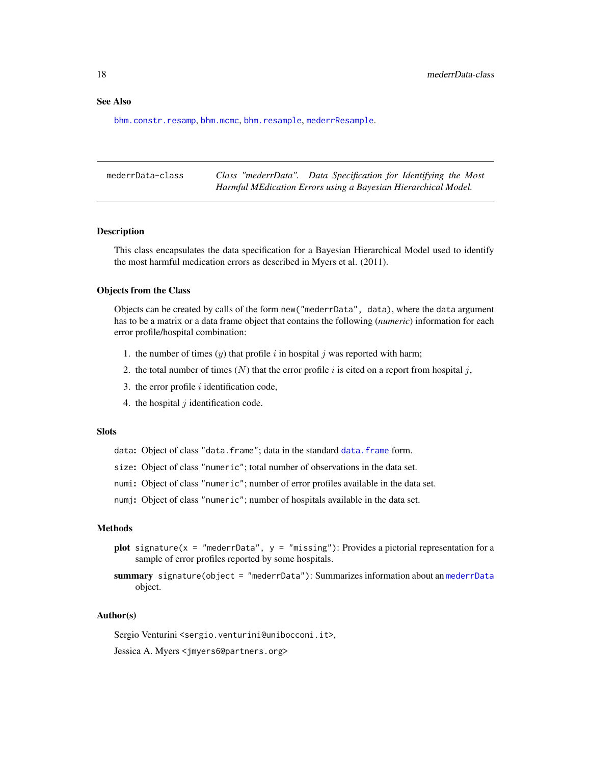### <span id="page-17-0"></span>See Also

[bhm.constr.resamp](#page-3-1), [bhm.mcmc](#page-5-1), [bhm.resample](#page-7-1), [mederrResample](#page-19-1).

| mederrData-class | Class "mederrData". Data Specification for Identifying the Most |
|------------------|-----------------------------------------------------------------|
|                  | Harmful MEdication Errors using a Bayesian Hierarchical Model.  |

#### <span id="page-17-1"></span>Description

This class encapsulates the data specification for a Bayesian Hierarchical Model used to identify the most harmful medication errors as described in Myers et al. (2011).

#### Objects from the Class

Objects can be created by calls of the form new("mederrData", data), where the data argument has to be a matrix or a data frame object that contains the following (*numeric*) information for each error profile/hospital combination:

- 1. the number of times  $(y)$  that profile i in hospital j was reported with harm;
- 2. the total number of times  $(N)$  that the error profile i is cited on a report from hospital j,
- 3. the error profile  $i$  identification code,
- 4. the hospital  $j$  identification code.

### **Slots**

data: Object of class "[data.frame](#page-0-0)"; data in the standard data.frame form.

- size: Object of class "numeric"; total number of observations in the data set.
- numi: Object of class "numeric"; number of error profiles available in the data set.
- numj: Object of class "numeric"; number of hospitals available in the data set.

#### Methods

- plot signature(x = "mederrData",  $y =$  "missing"): Provides a pictorial representation for a sample of error profiles reported by some hospitals.
- summary signature(object = "mederrData"): Summarizes information about an [mederrData](#page-17-1) object.

#### Author(s)

Sergio Venturini <sergio.venturini@unibocconi.it>,

Jessica A. Myers <jmyers6@partners.org>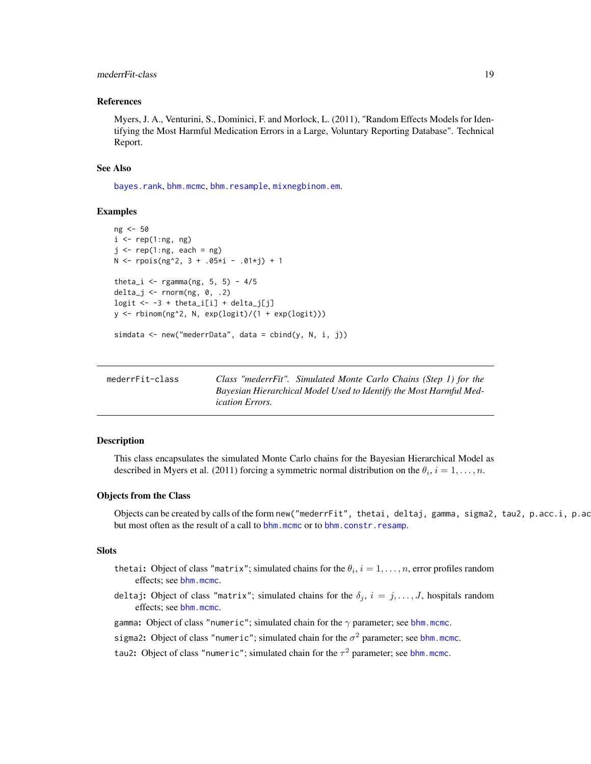### <span id="page-18-0"></span>mederrFit-class 19

#### References

Myers, J. A., Venturini, S., Dominici, F. and Morlock, L. (2011), "Random Effects Models for Identifying the Most Harmful Medication Errors in a Large, Voluntary Reporting Database". Technical Report.

#### See Also

[bayes.rank](#page-2-1), [bhm.mcmc](#page-5-1), [bhm.resample](#page-7-1), [mixnegbinom.em](#page-21-1).

### Examples

```
ng <- 50
i \leq rep(1:ng, ng)
j \leq -rep(1:ng, each = ng)N < - rpois(ng<sup>2</sup>, 3 + .05 \times i - .01 \times j) + 1
theta_i \leq rgamma(ng, 5, 5) - 4/5
delta_j <- rnorm(ng, 0, .2)logit \leftarrow -3 + theta_i[i] + delta_j[j]y <- rbinom(ng^2, N, exp(logit)/(1 + exp(logit)))
simdata <- new("mederrData", data = cbind(y, N, i, j))
```

| mederrFit-class | Class "mederrFit". Simulated Monte Carlo Chains (Step 1) for the   |
|-----------------|--------------------------------------------------------------------|
|                 | Bayesian Hierarchical Model Used to Identify the Most Harmful Med- |
|                 | <i>ication Errors.</i>                                             |

#### <span id="page-18-1"></span>Description

This class encapsulates the simulated Monte Carlo chains for the Bayesian Hierarchical Model as described in Myers et al. (2011) forcing a symmetric normal distribution on the  $\theta_i$ ,  $i = 1, \ldots, n$ .

#### Objects from the Class

Objects can be created by calls of the form new("mederrFit", thetai, deltaj, gamma, sigma2, tau2, p.acc.i, p.ac but most often as the result of a call to [bhm.mcmc](#page-5-1) or to [bhm.constr.resamp](#page-3-1).

#### **Slots**

- thetai: Object of class "matrix"; simulated chains for the  $\theta_i$ ,  $i = 1, \ldots, n$ , error profiles random effects; see [bhm.mcmc](#page-5-1).
- deltaj: Object of class "matrix"; simulated chains for the  $\delta_j$ ,  $i = j, \ldots, J$ , hospitals random effects; see [bhm.mcmc](#page-5-1).

gamma: Object of class "numeric"; simulated chain for the  $\gamma$  parameter; see [bhm.mcmc](#page-5-1).

sigma2: Object of class "numeric"; simulated chain for the  $\sigma^2$  parameter; see [bhm.mcmc](#page-5-1).

tau2: Object of class "numeric"; simulated chain for the  $\tau^2$  parameter; see [bhm.mcmc](#page-5-1).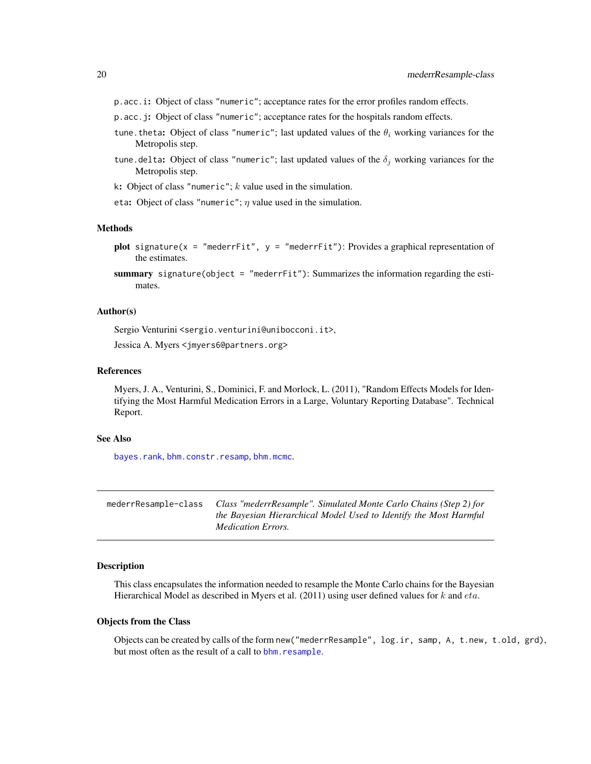- <span id="page-19-0"></span>p.acc.i: Object of class "numeric"; acceptance rates for the error profiles random effects.
- p.acc.j: Object of class "numeric"; acceptance rates for the hospitals random effects.
- tune. theta: Object of class "numeric"; last updated values of the  $\theta_i$  working variances for the Metropolis step.
- tune.delta: Object of class "numeric"; last updated values of the  $\delta_i$  working variances for the Metropolis step.
- k: Object of class "numeric";  $k$  value used in the simulation.
- eta: Object of class "numeric";  $\eta$  value used in the simulation.

#### Methods

- plot signature( $x =$  "mederrFit",  $y =$  "mederrFit"): Provides a graphical representation of the estimates.
- summary signature(object = "mederr $Fit$ "): Summarizes the information regarding the estimates.

#### Author(s)

Sergio Venturini <sergio.venturini@unibocconi.it>, Jessica A. Myers <jmyers6@partners.org>

#### References

Myers, J. A., Venturini, S., Dominici, F. and Morlock, L. (2011), "Random Effects Models for Identifying the Most Harmful Medication Errors in a Large, Voluntary Reporting Database". Technical Report.

#### See Also

[bayes.rank](#page-2-1), [bhm.constr.resamp](#page-3-1), [bhm.mcmc](#page-5-1).

| mederrResample-class | Class "mederrResample". Simulated Monte Carlo Chains (Step 2) for |
|----------------------|-------------------------------------------------------------------|
|                      | the Bayesian Hierarchical Model Used to Identify the Most Harmful |
|                      | <i>Medication Errors.</i>                                         |

### <span id="page-19-1"></span>Description

This class encapsulates the information needed to resample the Monte Carlo chains for the Bayesian Hierarchical Model as described in Myers et al.  $(2011)$  using user defined values for k and eta.

#### Objects from the Class

Objects can be created by calls of the form new("mederrResample", log.ir, samp, A, t.new, t.old, grd), but most often as the result of a call to bhm. resample.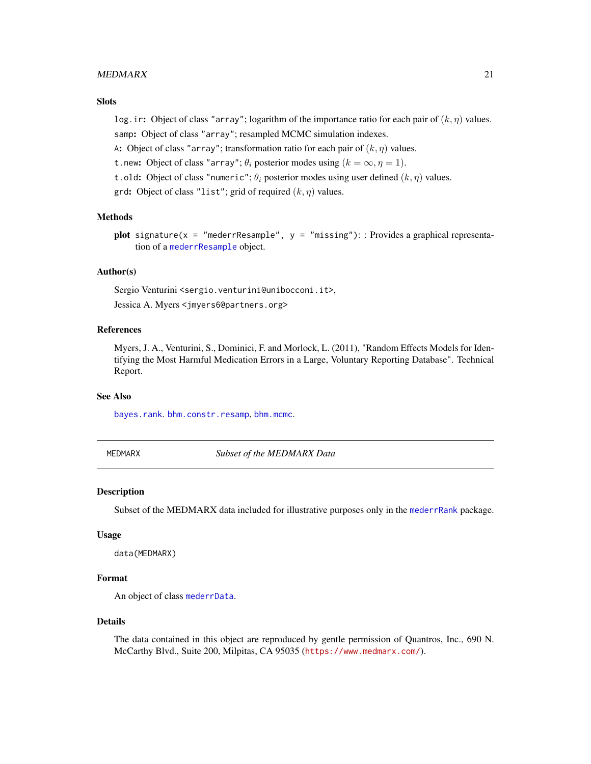#### <span id="page-20-0"></span> $\boldsymbol{M}\boldsymbol{E}\boldsymbol{D}\boldsymbol{M}\boldsymbol{A}\boldsymbol{R}\boldsymbol{X}$  and  $\boldsymbol{M}\boldsymbol{E}\boldsymbol{D}\boldsymbol{M}\boldsymbol{A}\boldsymbol{R}\boldsymbol{X}$  and  $\boldsymbol{M}\boldsymbol{I}\boldsymbol{I}\boldsymbol{I}\boldsymbol{I}\boldsymbol{I}$

### **Slots**

log. ir: Object of class "array"; logarithm of the importance ratio for each pair of  $(k, \eta)$  values. samp: Object of class "array"; resampled MCMC simulation indexes.

A: Object of class "array"; transformation ratio for each pair of  $(k, \eta)$  values.

t.new: Object of class "array";  $\theta_i$  posterior modes using  $(k = \infty, \eta = 1)$ .

t.old: Object of class "numeric";  $\theta_i$  posterior modes using user defined  $(k, \eta)$  values.

grd: Object of class "list"; grid of required  $(k, \eta)$  values.

### Methods

```
plot signature(x = "mederrResample", y = "missing"): : Provides a graphical representa-
    tion of a mederrResample object.
```
#### Author(s)

Sergio Venturini <sergio.venturini@unibocconi.it>,

Jessica A. Myers <jmyers6@partners.org>

### References

Myers, J. A., Venturini, S., Dominici, F. and Morlock, L. (2011), "Random Effects Models for Identifying the Most Harmful Medication Errors in a Large, Voluntary Reporting Database". Technical Report.

### See Also

[bayes.rank](#page-2-1). [bhm.constr.resamp](#page-3-1), [bhm.mcmc](#page-5-1).

MEDMARX *Subset of the MEDMARX Data*

### Description

Subset of the MEDMARX data included for illustrative purposes only in the [mederrRank](#page-1-1) package.

### Usage

```
data(MEDMARX)
```
### Format

An object of class [mederrData](#page-17-1).

#### Details

The data contained in this object are reproduced by gentle permission of Quantros, Inc., 690 N. McCarthy Blvd., Suite 200, Milpitas, CA 95035 (<https://www.medmarx.com/>).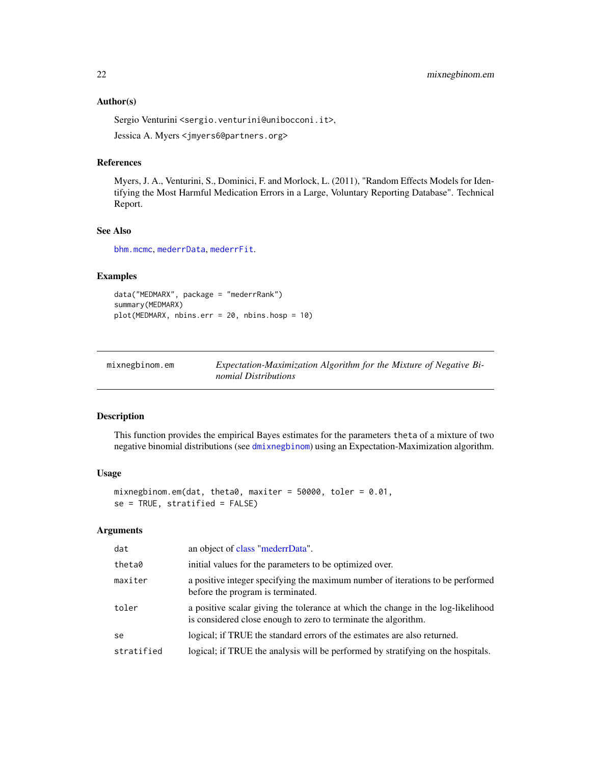### <span id="page-21-0"></span>Author(s)

Sergio Venturini <sergio.venturini@unibocconi.it>,

Jessica A. Myers <jmyers6@partners.org>

#### References

Myers, J. A., Venturini, S., Dominici, F. and Morlock, L. (2011), "Random Effects Models for Identifying the Most Harmful Medication Errors in a Large, Voluntary Reporting Database". Technical Report.

### See Also

[bhm.mcmc](#page-5-1), [mederrData](#page-17-1), [mederrFit](#page-18-1).

### Examples

data("MEDMARX", package = "mederrRank") summary(MEDMARX) plot(MEDMARX, nbins.err = 20, nbins.hosp = 10)

<span id="page-21-1"></span>

| mixnegbinom.em | Expectation-Maximization Algorithm for the Mixture of Negative Bi- |
|----------------|--------------------------------------------------------------------|
|                | nomial Distributions                                               |

#### Description

This function provides the empirical Bayes estimates for the parameters theta of a mixture of two negative binomial distributions (see [dmixnegbinom](#page-8-1)) using an Expectation-Maximization algorithm.

#### Usage

```
mixnegbinom.em(dat, theta0, maxiter = 50000, toler = 0.01,
se = TRUE, stratified = FALSE)
```
### Arguments

| dat        | an object of class "mederrData".                                                                                                                   |
|------------|----------------------------------------------------------------------------------------------------------------------------------------------------|
| theta0     | initial values for the parameters to be optimized over.                                                                                            |
| maxiter    | a positive integer specifying the maximum number of iterations to be performed<br>before the program is terminated.                                |
| toler      | a positive scalar giving the tolerance at which the change in the log-likelihood<br>is considered close enough to zero to terminate the algorithm. |
| se         | logical; if TRUE the standard errors of the estimates are also returned.                                                                           |
| stratified | logical; if TRUE the analysis will be performed by stratifying on the hospitals.                                                                   |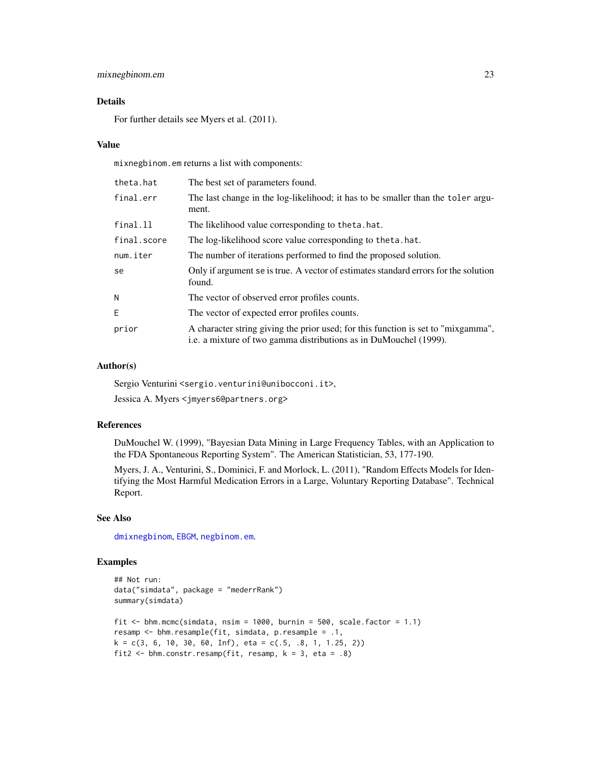### <span id="page-22-0"></span>mixnegbinom.em 23

### Details

For further details see Myers et al. (2011).

#### Value

mixnegbinom.em returns a list with components:

| theta.hat   | The best set of parameters found.                                                                                                                      |
|-------------|--------------------------------------------------------------------------------------------------------------------------------------------------------|
| final.err   | The last change in the log-likelihood; it has to be smaller than the toler argu-<br>ment.                                                              |
| final.ll    | The likelihood value corresponding to theta.hat.                                                                                                       |
| final.score | The log-likelihood score value corresponding to theta.hat.                                                                                             |
| num.iter    | The number of iterations performed to find the proposed solution.                                                                                      |
| se          | Only if argument se is true. A vector of estimates standard errors for the solution<br>found.                                                          |
| N           | The vector of observed error profiles counts.                                                                                                          |
| E.          | The vector of expected error profiles counts.                                                                                                          |
| prior       | A character string giving the prior used; for this function is set to "mixgamma",<br>i.e. a mixture of two gamma distributions as in DuMouchel (1999). |

#### Author(s)

Sergio Venturini <sergio.venturini@unibocconi.it>,

Jessica A. Myers <jmyers6@partners.org>

#### References

DuMouchel W. (1999), "Bayesian Data Mining in Large Frequency Tables, with an Application to the FDA Spontaneous Reporting System". The American Statistician, 53, 177-190.

Myers, J. A., Venturini, S., Dominici, F. and Morlock, L. (2011), "Random Effects Models for Identifying the Most Harmful Medication Errors in a Large, Voluntary Reporting Database". Technical Report.

### See Also

[dmixnegbinom](#page-8-1), [EBGM](#page-12-1), [negbinom.em](#page-25-1).

### Examples

```
## Not run:
data("simdata", package = "mederrRank")
summary(simdata)
fit \le bhm.mcmc(simdata, nsim = 1000, burnin = 500, scale.factor = 1.1)
resamp <- bhm.resample(fit, simdata, p.resample = .1,
k = c(3, 6, 10, 30, 60, Inf), eta = c(.5, .8, 1, 1.25, 2)fit2 \leftarrow bhm.constr.resamp(fit, resamp, k = 3, eta = .8)
```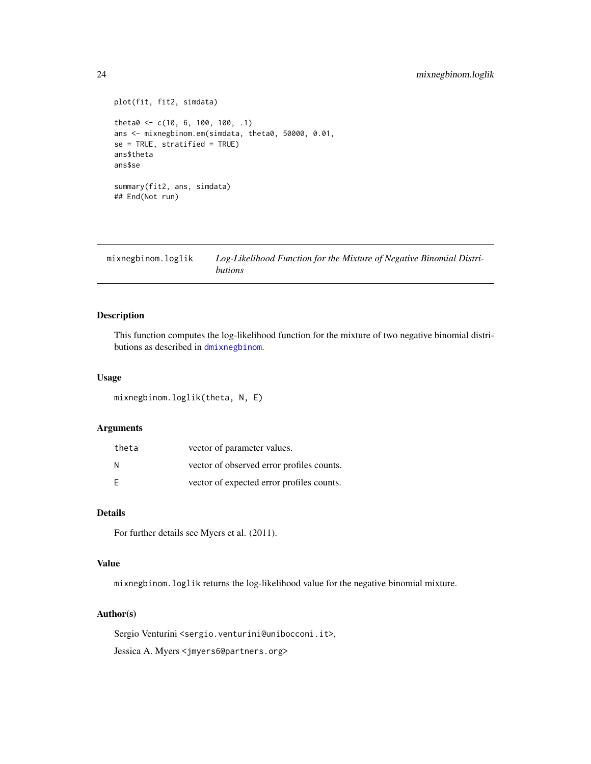### <span id="page-23-0"></span>24 mixnegbinom.loglik

```
plot(fit, fit2, simdata)
theta0 <- c(10, 6, 100, 100, .1)
ans <- mixnegbinom.em(simdata, theta0, 50000, 0.01,
se = TRUE, stratified = TRUE)ans$theta
ans$se
summary(fit2, ans, simdata)
## End(Not run)
```
<span id="page-23-1"></span>mixnegbinom.loglik *Log-Likelihood Function for the Mixture of Negative Binomial Distributions*

### Description

This function computes the log-likelihood function for the mixture of two negative binomial distributions as described in [dmixnegbinom](#page-8-1).

### Usage

mixnegbinom.loglik(theta, N, E)

#### Arguments

| theta | vector of parameter values.               |
|-------|-------------------------------------------|
| N     | vector of observed error profiles counts. |
| F     | vector of expected error profiles counts. |

### Details

For further details see Myers et al. (2011).

### Value

mixnegbinom.loglik returns the log-likelihood value for the negative binomial mixture.

#### Author(s)

Sergio Venturini <sergio.venturini@unibocconi.it>, Jessica A. Myers <jmyers6@partners.org>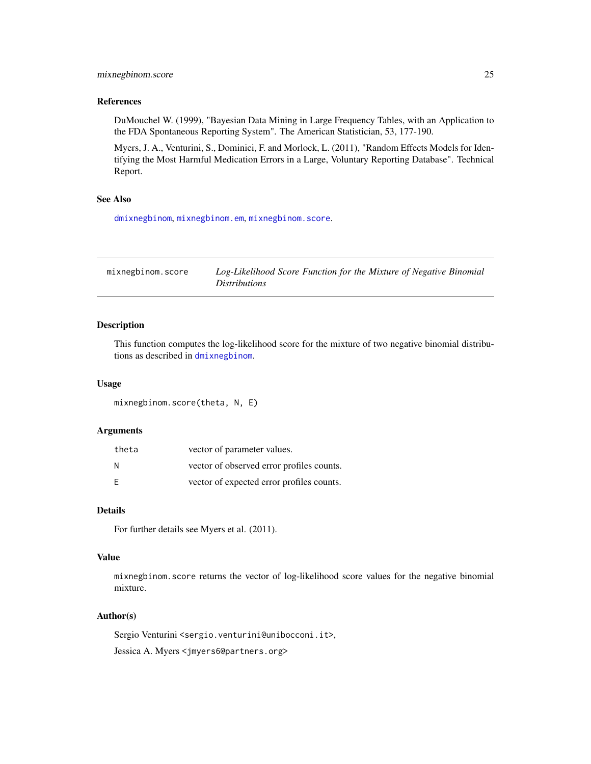### <span id="page-24-0"></span>mixnegbinom.score 25

#### References

DuMouchel W. (1999), "Bayesian Data Mining in Large Frequency Tables, with an Application to the FDA Spontaneous Reporting System". The American Statistician, 53, 177-190.

Myers, J. A., Venturini, S., Dominici, F. and Morlock, L. (2011), "Random Effects Models for Identifying the Most Harmful Medication Errors in a Large, Voluntary Reporting Database". Technical Report.

#### See Also

[dmixnegbinom](#page-8-1), [mixnegbinom.em](#page-21-1), [mixnegbinom.score](#page-24-1).

<span id="page-24-1"></span>mixnegbinom.score *Log-Likelihood Score Function for the Mixture of Negative Binomial Distributions*

#### Description

This function computes the log-likelihood score for the mixture of two negative binomial distributions as described in [dmixnegbinom](#page-8-1).

#### Usage

mixnegbinom.score(theta, N, E)

### Arguments

| theta | vector of parameter values.               |
|-------|-------------------------------------------|
| N     | vector of observed error profiles counts. |
| F     | vector of expected error profiles counts. |

#### Details

For further details see Myers et al. (2011).

### Value

mixnegbinom.score returns the vector of log-likelihood score values for the negative binomial mixture.

#### Author(s)

Sergio Venturini <sergio.venturini@unibocconi.it>, Jessica A. Myers <jmyers6@partners.org>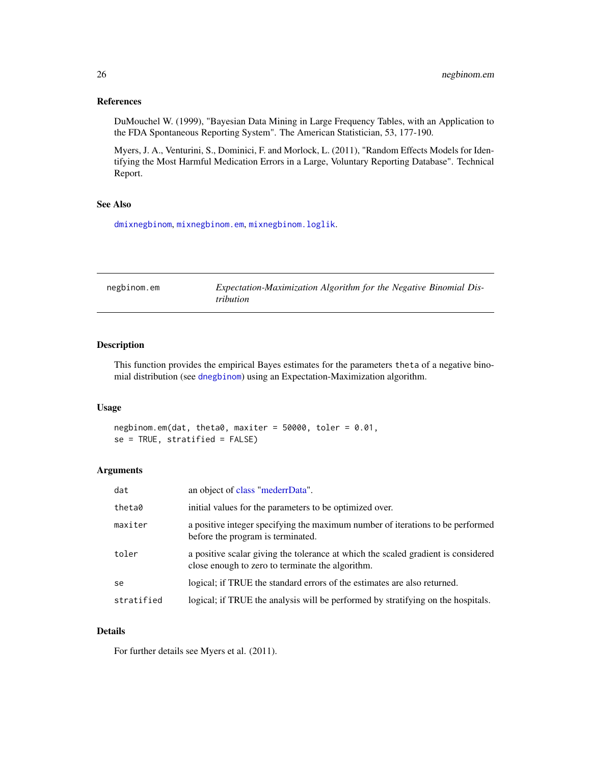### <span id="page-25-0"></span>References

DuMouchel W. (1999), "Bayesian Data Mining in Large Frequency Tables, with an Application to the FDA Spontaneous Reporting System". The American Statistician, 53, 177-190.

Myers, J. A., Venturini, S., Dominici, F. and Morlock, L. (2011), "Random Effects Models for Identifying the Most Harmful Medication Errors in a Large, Voluntary Reporting Database". Technical Report.

### See Also

[dmixnegbinom](#page-8-1), [mixnegbinom.em](#page-21-1), [mixnegbinom.loglik](#page-23-1).

<span id="page-25-1"></span>

| negbinom.em | Expectation-Maximization Algorithm for the Negative Binomial Dis- |
|-------------|-------------------------------------------------------------------|
|             | <i>tribution</i>                                                  |

### Description

This function provides the empirical Bayes estimates for the parameters theta of a negative binomial distribution (see [dnegbinom](#page-9-1)) using an Expectation-Maximization algorithm.

### Usage

```
negbinom.em(dat, theta0, maxiter = 50000, toler = 0.01,
se = TRUE, stratified = FALSE)
```
#### Arguments

| dat           | an object of class "mederrData".                                                                                                      |
|---------------|---------------------------------------------------------------------------------------------------------------------------------------|
| theta0        | initial values for the parameters to be optimized over.                                                                               |
| maxiter       | a positive integer specifying the maximum number of iterations to be performed<br>before the program is terminated.                   |
| toler         | a positive scalar giving the tolerance at which the scaled gradient is considered<br>close enough to zero to terminate the algorithm. |
| <sub>se</sub> | logical; if TRUE the standard errors of the estimates are also returned.                                                              |
| stratified    | logical; if TRUE the analysis will be performed by stratifying on the hospitals.                                                      |

### Details

For further details see Myers et al. (2011).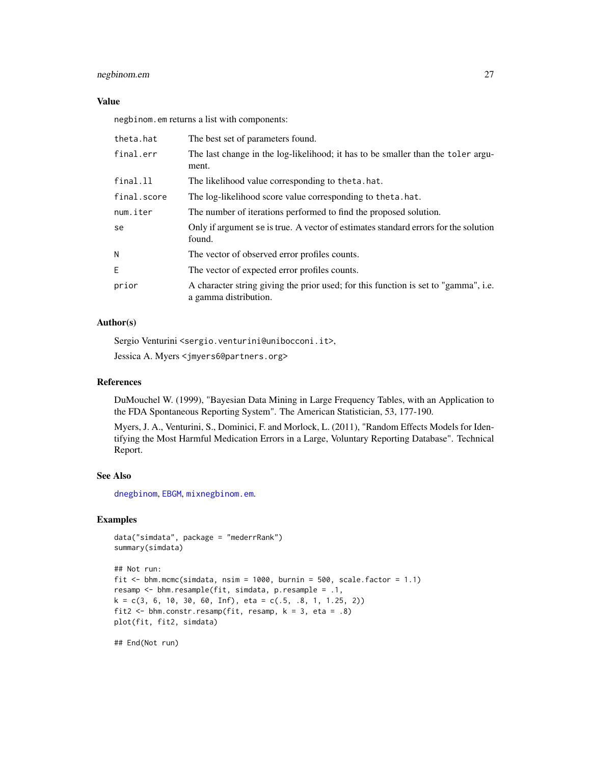### <span id="page-26-0"></span>negbinom.em 27

#### Value

negbinom.em returns a list with components:

| theta.hat   | The best set of parameters found.                                                                            |
|-------------|--------------------------------------------------------------------------------------------------------------|
| final.err   | The last change in the log-likelihood; it has to be smaller than the toler argu-<br>ment.                    |
| final.ll    | The likelihood value corresponding to theta.hat.                                                             |
| final.score | The log-likelihood score value corresponding to theta.hat.                                                   |
| num.iter    | The number of iterations performed to find the proposed solution.                                            |
| se          | Only if argument se is true. A vector of estimates standard errors for the solution<br>found.                |
| Ν           | The vector of observed error profiles counts.                                                                |
| E.          | The vector of expected error profiles counts.                                                                |
| prior       | A character string giving the prior used; for this function is set to "gamma", i.e.<br>a gamma distribution. |

#### Author(s)

Sergio Venturini <sergio.venturini@unibocconi.it>,

Jessica A. Myers <jmyers6@partners.org>

### References

DuMouchel W. (1999), "Bayesian Data Mining in Large Frequency Tables, with an Application to the FDA Spontaneous Reporting System". The American Statistician, 53, 177-190.

Myers, J. A., Venturini, S., Dominici, F. and Morlock, L. (2011), "Random Effects Models for Identifying the Most Harmful Medication Errors in a Large, Voluntary Reporting Database". Technical Report.

#### See Also

[dnegbinom](#page-9-1), [EBGM](#page-12-1), [mixnegbinom.em](#page-21-1).

### Examples

```
data("simdata", package = "mederrRank")
summary(simdata)
```

```
## Not run:
fit \le bhm.mcmc(simdata, nsim = 1000, burnin = 500, scale.factor = 1.1)
resamp <- bhm.resample(fit, simdata, p.resample = .1,
k = c(3, 6, 10, 30, 60, Inf), eta = c(.5, .8, 1, 1.25, 2))
fit2 \leftarrow bhm.constr.resamp(fit, resamp, k = 3, eta = .8)
plot(fit, fit2, simdata)
```
## End(Not run)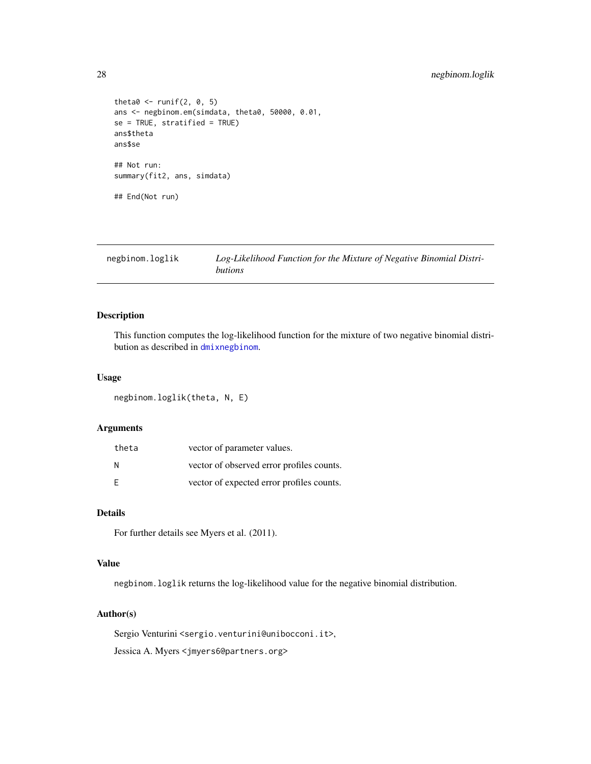```
theta0 \le- runif(2, 0, 5)
ans <- negbinom.em(simdata, theta0, 50000, 0.01,
se = TRUE, stratified = TRUE)
ans$theta
ans$se
## Not run:
summary(fit2, ans, simdata)
## End(Not run)
```
<span id="page-27-1"></span>

| negbinom.loglik | Log-Likelihood Function for the Mixture of Negative Binomial Distri- |
|-----------------|----------------------------------------------------------------------|
|                 | butions                                                              |

This function computes the log-likelihood function for the mixture of two negative binomial distribution as described in [dmixnegbinom](#page-8-1).

### Usage

negbinom.loglik(theta, N, E)

### Arguments

| theta | vector of parameter values.               |
|-------|-------------------------------------------|
| N     | vector of observed error profiles counts. |
| F     | vector of expected error profiles counts. |

### Details

For further details see Myers et al. (2011).

### Value

negbinom.loglik returns the log-likelihood value for the negative binomial distribution.

#### Author(s)

Sergio Venturini <sergio.venturini@unibocconi.it>,

Jessica A. Myers <jmyers6@partners.org>

<span id="page-27-0"></span>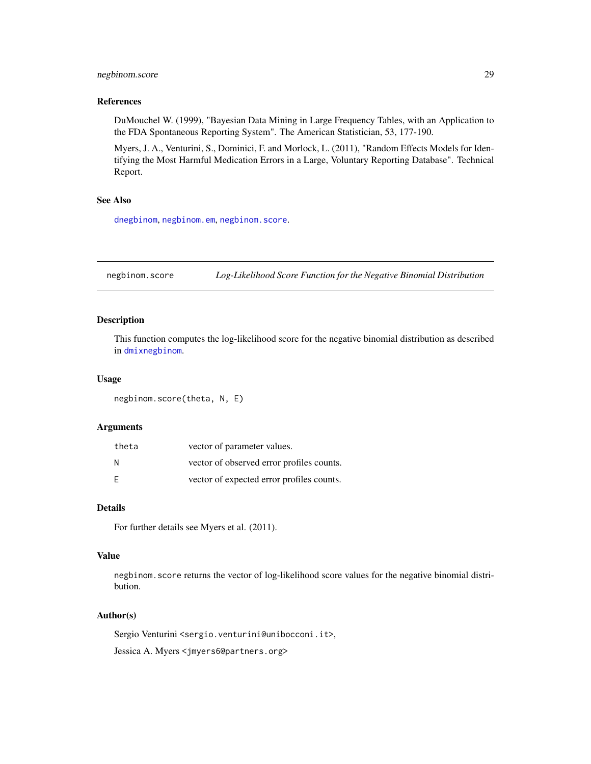### <span id="page-28-0"></span>negbinom.score 29

### References

DuMouchel W. (1999), "Bayesian Data Mining in Large Frequency Tables, with an Application to the FDA Spontaneous Reporting System". The American Statistician, 53, 177-190.

Myers, J. A., Venturini, S., Dominici, F. and Morlock, L. (2011), "Random Effects Models for Identifying the Most Harmful Medication Errors in a Large, Voluntary Reporting Database". Technical Report.

#### See Also

[dnegbinom](#page-9-1), [negbinom.em](#page-25-1), [negbinom.score](#page-28-1).

<span id="page-28-1"></span>negbinom.score *Log-Likelihood Score Function for the Negative Binomial Distribution*

### Description

This function computes the log-likelihood score for the negative binomial distribution as described in [dmixnegbinom](#page-8-1).

#### Usage

negbinom.score(theta, N, E)

### Arguments

| theta | vector of parameter values.               |
|-------|-------------------------------------------|
| N     | vector of observed error profiles counts. |
| E     | vector of expected error profiles counts. |

### Details

For further details see Myers et al. (2011).

### Value

negbinom.score returns the vector of log-likelihood score values for the negative binomial distribution.

#### Author(s)

Sergio Venturini <sergio.venturini@unibocconi.it>,

Jessica A. Myers <jmyers6@partners.org>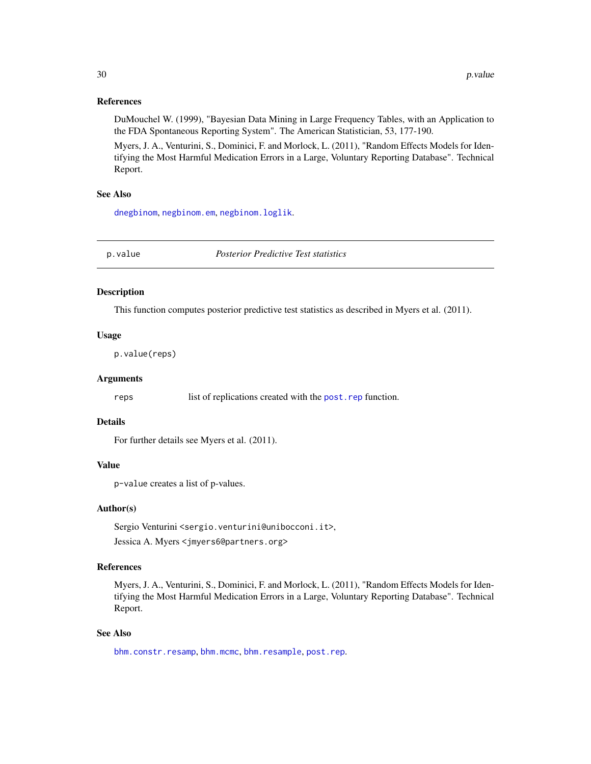### <span id="page-29-0"></span>References

DuMouchel W. (1999), "Bayesian Data Mining in Large Frequency Tables, with an Application to the FDA Spontaneous Reporting System". The American Statistician, 53, 177-190.

Myers, J. A., Venturini, S., Dominici, F. and Morlock, L. (2011), "Random Effects Models for Identifying the Most Harmful Medication Errors in a Large, Voluntary Reporting Database". Technical Report.

#### See Also

[dnegbinom](#page-9-1), [negbinom.em](#page-25-1), [negbinom.loglik](#page-27-1).

<span id="page-29-1"></span>p.value *Posterior Predictive Test statistics*

### Description

This function computes posterior predictive test statistics as described in Myers et al. (2011).

#### Usage

p.value(reps)

#### Arguments

reps list of replications created with the [post.rep](#page-31-1) function.

#### Details

For further details see Myers et al. (2011).

#### Value

p-value creates a list of p-values.

### Author(s)

Sergio Venturini <sergio.venturini@unibocconi.it>, Jessica A. Myers <jmyers6@partners.org>

### References

Myers, J. A., Venturini, S., Dominici, F. and Morlock, L. (2011), "Random Effects Models for Identifying the Most Harmful Medication Errors in a Large, Voluntary Reporting Database". Technical Report.

#### See Also

[bhm.constr.resamp](#page-3-1), [bhm.mcmc](#page-5-1), [bhm.resample](#page-7-1), [post.rep](#page-31-1).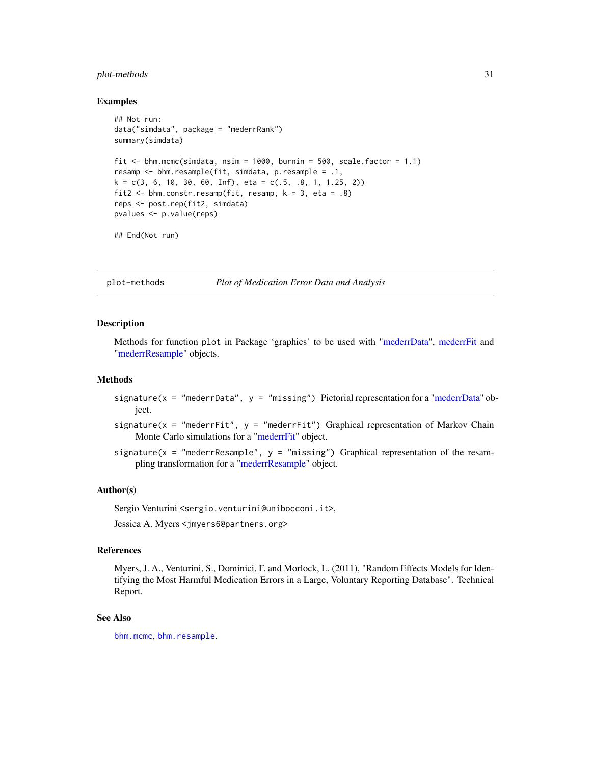### <span id="page-30-0"></span>plot-methods 31

#### Examples

```
## Not run:
data("simdata", package = "mederrRank")
summary(simdata)
fit \le bhm.mcmc(simdata, nsim = 1000, burnin = 500, scale.factor = 1.1)
resamp <- bhm.resample(fit, simdata, p.resample = .1,
k = c(3, 6, 10, 30, 60, Inf), eta = c(.5, .8, 1, 1.25, 2))
fit2 \le bhm.constr.resamp(fit, resamp, k = 3, eta = .8)
reps <- post.rep(fit2, simdata)
pvalues <- p.value(reps)
```

```
## End(Not run)
```
plot-methods *Plot of Medication Error Data and Analysis*

#### Description

Methods for function plot in Package 'graphics' to be used with ["mederrData"](#page-17-1), [mederrFit](#page-18-1) and ["mederrResample"](#page-19-1) objects.

#### Methods

- signature( $x = "medianData", y = "missing")$  Pictorial representation for a ["mederrData"](#page-17-1) object.
- signature( $x =$  "mederrFit",  $y =$  "mederrFit") Graphical representation of Markov Chain Monte Carlo simulations for a ["mederrFit"](#page-18-1) object.
- signature( $x =$  "mederrResample",  $y =$  "missing") Graphical representation of the resampling transformation for a ["mederrResample"](#page-19-1) object.

#### Author(s)

Sergio Venturini <sergio.venturini@unibocconi.it>,

Jessica A. Myers <jmyers6@partners.org>

#### References

Myers, J. A., Venturini, S., Dominici, F. and Morlock, L. (2011), "Random Effects Models for Identifying the Most Harmful Medication Errors in a Large, Voluntary Reporting Database". Technical Report.

### See Also

[bhm.mcmc](#page-5-1), [bhm.resample](#page-7-1).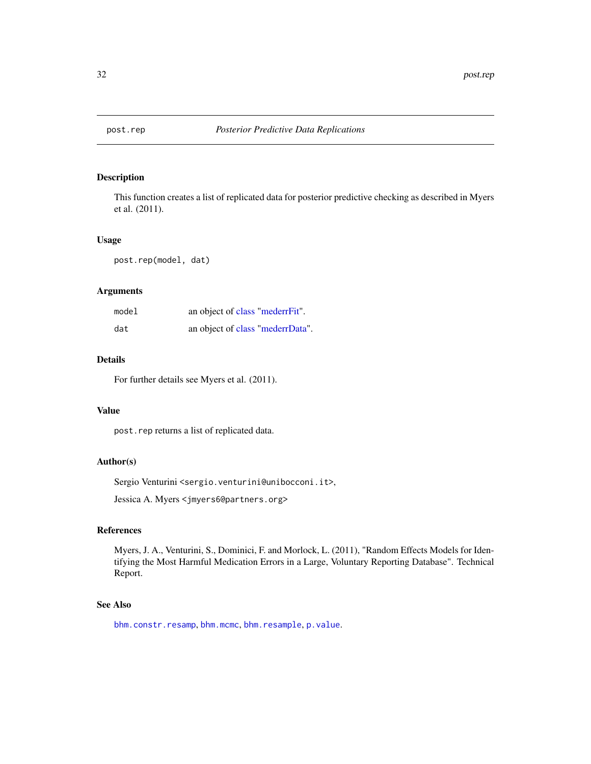<span id="page-31-1"></span><span id="page-31-0"></span>

This function creates a list of replicated data for posterior predictive checking as described in Myers et al. (2011).

#### Usage

post.rep(model, dat)

### Arguments

| model | an object of class "mederrFit".  |
|-------|----------------------------------|
| dat   | an object of class "mederrData". |

### Details

For further details see Myers et al. (2011).

### Value

post.rep returns a list of replicated data.

### Author(s)

Sergio Venturini <sergio.venturini@unibocconi.it>,

Jessica A. Myers <jmyers6@partners.org>

### References

Myers, J. A., Venturini, S., Dominici, F. and Morlock, L. (2011), "Random Effects Models for Identifying the Most Harmful Medication Errors in a Large, Voluntary Reporting Database". Technical Report.

### See Also

[bhm.constr.resamp](#page-3-1), [bhm.mcmc](#page-5-1), [bhm.resample](#page-7-1), [p.value](#page-29-1).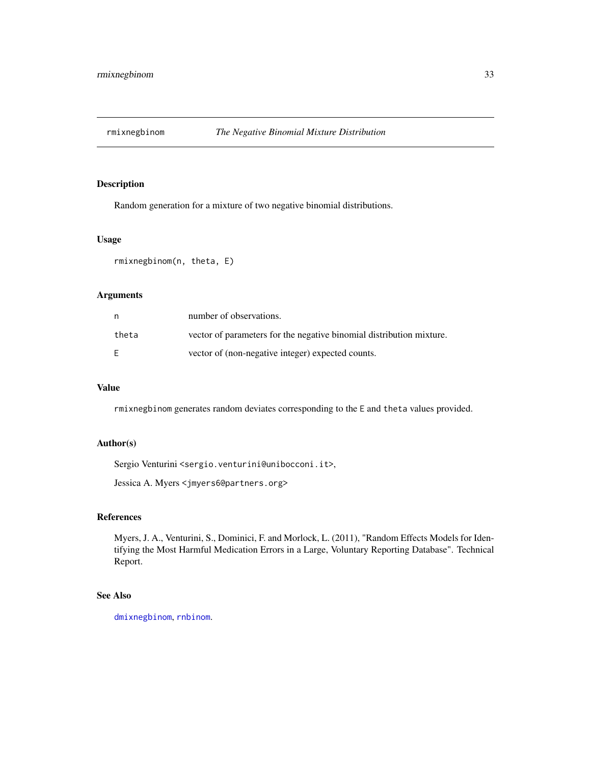<span id="page-32-1"></span><span id="page-32-0"></span>

Random generation for a mixture of two negative binomial distributions.

#### Usage

rmixnegbinom(n, theta, E)

### Arguments

| n     | number of observations.                                              |
|-------|----------------------------------------------------------------------|
| theta | vector of parameters for the negative binomial distribution mixture. |
| E     | vector of (non-negative integer) expected counts.                    |

### Value

rmixnegbinom generates random deviates corresponding to the E and theta values provided.

#### Author(s)

Sergio Venturini <sergio.venturini@unibocconi.it>,

Jessica A. Myers <jmyers6@partners.org>

### References

Myers, J. A., Venturini, S., Dominici, F. and Morlock, L. (2011), "Random Effects Models for Identifying the Most Harmful Medication Errors in a Large, Voluntary Reporting Database". Technical Report.

### See Also

[dmixnegbinom](#page-8-1), [rnbinom](#page-0-0).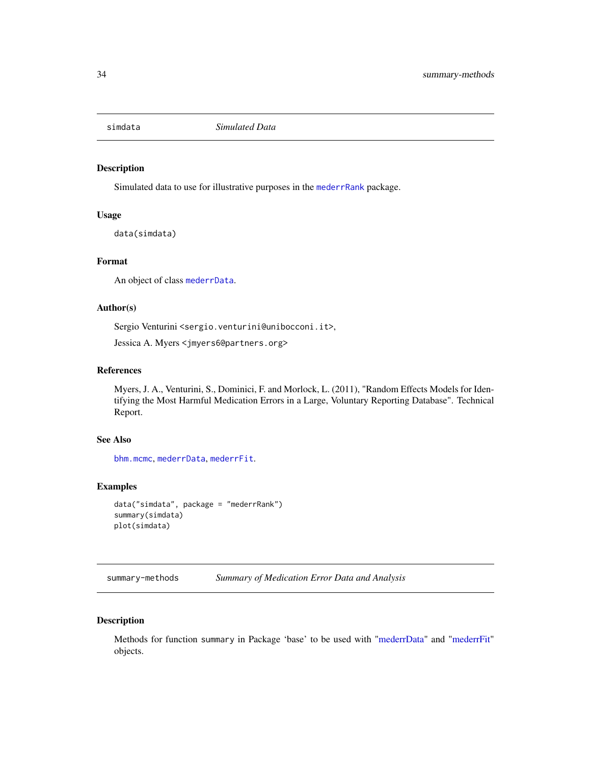<span id="page-33-0"></span>

Simulated data to use for illustrative purposes in the [mederrRank](#page-1-1) package.

### Usage

data(simdata)

### Format

An object of class [mederrData](#page-17-1).

#### Author(s)

Sergio Venturini <sergio.venturini@unibocconi.it>,

Jessica A. Myers <jmyers6@partners.org>

### References

Myers, J. A., Venturini, S., Dominici, F. and Morlock, L. (2011), "Random Effects Models for Identifying the Most Harmful Medication Errors in a Large, Voluntary Reporting Database". Technical Report.

### See Also

[bhm.mcmc](#page-5-1), [mederrData](#page-17-1), [mederrFit](#page-18-1).

### Examples

```
data("simdata", package = "mederrRank")
summary(simdata)
plot(simdata)
```
summary-methods *Summary of Medication Error Data and Analysis*

### Description

Methods for function summary in Package 'base' to be used with ["mederrData"](#page-17-1) and ["mederrFit"](#page-18-1) objects.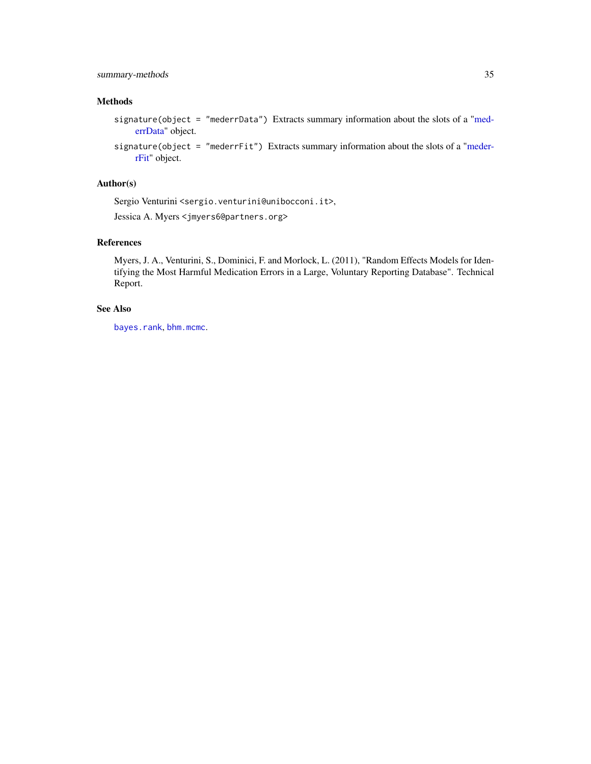### <span id="page-34-0"></span>summary-methods 35

### Methods

- signature(object = "mederrData") Extracts summary information about the slots of a ["med](#page-17-1)[errData"](#page-17-1) object.
- signature(object = "mederrFit") Extracts summary information about the slots of a ["meder](#page-18-1)[rFit"](#page-18-1) object.

### Author(s)

Sergio Venturini <sergio.venturini@unibocconi.it>,

Jessica A. Myers <jmyers6@partners.org>

### References

Myers, J. A., Venturini, S., Dominici, F. and Morlock, L. (2011), "Random Effects Models for Identifying the Most Harmful Medication Errors in a Large, Voluntary Reporting Database". Technical Report.

### See Also

[bayes.rank](#page-2-1), [bhm.mcmc](#page-5-1).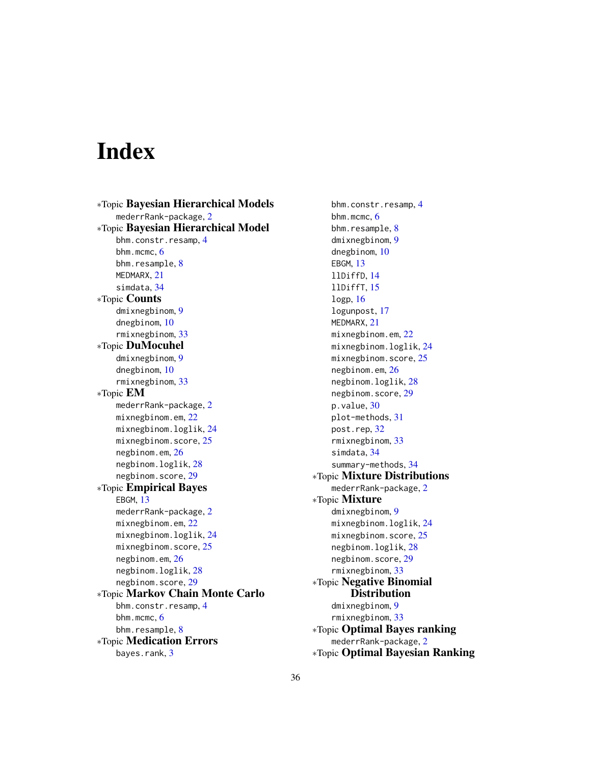# <span id="page-35-0"></span>Index

∗Topic Bayesian Hierarchical Models mederrRank-package, [2](#page-1-0) ∗Topic Bayesian Hierarchical Model bhm.constr.resamp, [4](#page-3-0) bhm.mcmc,  $6$ bhm.resample, [8](#page-7-0) MEDMARX, [21](#page-20-0) simdata, [34](#page-33-0) ∗Topic Counts dmixnegbinom, [9](#page-8-0) dnegbinom, [10](#page-9-0) rmixnegbinom, [33](#page-32-0) ∗Topic DuMocuhel dmixnegbinom, [9](#page-8-0) dnegbinom, [10](#page-9-0) rmixnegbinom, [33](#page-32-0) ∗Topic EM mederrRank-package, [2](#page-1-0) mixnegbinom.em, [22](#page-21-0) mixnegbinom.loglik, [24](#page-23-0) mixnegbinom.score, [25](#page-24-0) negbinom.em, [26](#page-25-0) negbinom.loglik, [28](#page-27-0) negbinom.score, [29](#page-28-0) ∗Topic Empirical Bayes EBGM, [13](#page-12-0) mederrRank-package, [2](#page-1-0) mixnegbinom.em, [22](#page-21-0) mixnegbinom.loglik, [24](#page-23-0) mixnegbinom.score, [25](#page-24-0) negbinom.em, [26](#page-25-0) negbinom.loglik, [28](#page-27-0) negbinom.score, [29](#page-28-0) ∗Topic Markov Chain Monte Carlo bhm.constr.resamp, [4](#page-3-0) bhm.mcmc, [6](#page-5-0) bhm.resample, [8](#page-7-0) ∗Topic Medication Errors bayes.rank, [3](#page-2-0)

bhm.constr.resamp, [4](#page-3-0) bhm.mcmc, [6](#page-5-0) bhm.resample, [8](#page-7-0) dmixnegbinom, [9](#page-8-0) dnegbinom, [10](#page-9-0) EBGM, [13](#page-12-0) llDiffD, [14](#page-13-0) llDiffT, [15](#page-14-0) logp, [16](#page-15-0) logunpost, [17](#page-16-0) MEDMARX, [21](#page-20-0) mixnegbinom.em, [22](#page-21-0) mixnegbinom.loglik, [24](#page-23-0) mixnegbinom.score, [25](#page-24-0) negbinom.em, [26](#page-25-0) negbinom.loglik, [28](#page-27-0) negbinom.score, [29](#page-28-0) p.value, [30](#page-29-0) plot-methods, [31](#page-30-0) post.rep, [32](#page-31-0) rmixnegbinom, [33](#page-32-0) simdata, [34](#page-33-0) summary-methods, [34](#page-33-0) ∗Topic Mixture Distributions mederrRank-package, [2](#page-1-0) ∗Topic Mixture dmixnegbinom, [9](#page-8-0) mixnegbinom.loglik, [24](#page-23-0) mixnegbinom.score, [25](#page-24-0) negbinom.loglik, [28](#page-27-0) negbinom.score, [29](#page-28-0) rmixnegbinom, [33](#page-32-0) ∗Topic Negative Binomial **Distribution** dmixnegbinom, [9](#page-8-0) rmixnegbinom, [33](#page-32-0) ∗Topic Optimal Bayes ranking mederrRank-package, [2](#page-1-0) ∗Topic Optimal Bayesian Ranking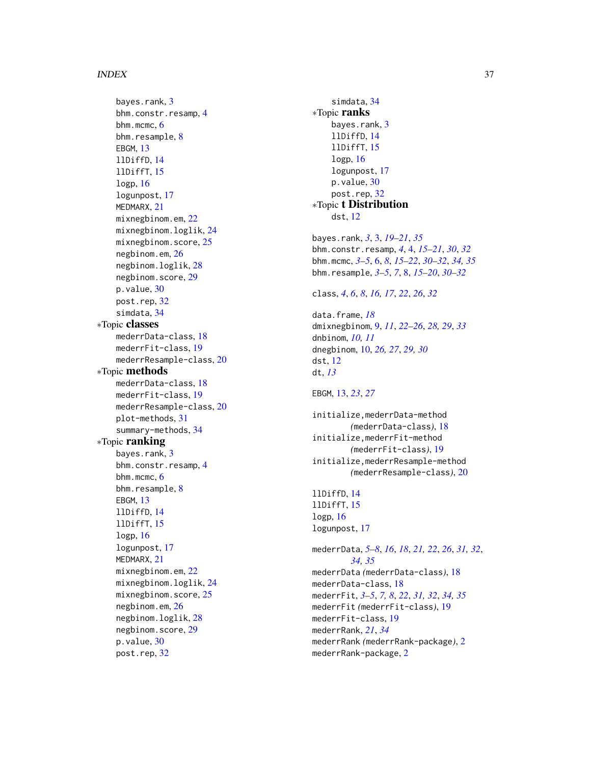#### $I<sub>N</sub>$  and  $I<sub>37</sub>$  and  $I<sub>37</sub>$  and  $I<sub>37</sub>$  and  $I<sub>37</sub>$  and  $I<sub>37</sub>$  and  $I<sub>37</sub>$  and  $I<sub>37</sub>$  and  $I<sub>37</sub>$  and  $I<sub>37</sub>$  and  $I<sub>37</sub>$  and  $I<sub>37</sub>$  and  $I<sub>37</sub>$  and  $I<sub>37</sub>$  and

bayes.rank, [3](#page-2-0) bhm.constr.resamp , [4](#page-3-0) bhm.mcmc, [6](#page-5-0) bhm.resample, <mark>[8](#page-7-0)</mark> EBGM , [13](#page-12-0) llDiffD , [14](#page-13-0) llDiffT , [15](#page-14-0) logp , [16](#page-15-0) logunpost , [17](#page-16-0) MEDMARX, [21](#page-20-0) mixnegbinom.em, [22](#page-21-0) mixnegbinom.loglik , [24](#page-23-0) mixnegbinom.score, [25](#page-24-0) negbinom.em, [26](#page-25-0) negbinom.loglik , [28](#page-27-0) negbinom.score , [29](#page-28-0) p.value, [30](#page-29-0) post.rep, [32](#page-31-0) simdata , [34](#page-33-0) ∗Topic classes mederrData-class , [18](#page-17-0) mederrFit-class , [19](#page-18-0) mederrResample-class, [20](#page-19-0) ∗Topic methods mederrData-class , [18](#page-17-0) mederrFit-class , [19](#page-18-0) mederrResample-class, [20](#page-19-0) plot-methods , [31](#page-30-0) summary-methods , [34](#page-33-0) ∗Topic ranking bayes.rank, [3](#page-2-0) bhm.constr.resamp , [4](#page-3-0) bhm.mcmc, [6](#page-5-0) bhm.resample, [8](#page-7-0) EBGM , [13](#page-12-0) llDiffD , [14](#page-13-0) llDiffT , [15](#page-14-0) logp , [16](#page-15-0) logunpost , [17](#page-16-0) MEDMARX, [21](#page-20-0) mixnegbinom.em, [22](#page-21-0) mixnegbinom.loglik , [24](#page-23-0) mixnegbinom.score, [25](#page-24-0) negbinom.em, [26](#page-25-0) negbinom.loglik , [28](#page-27-0) negbinom.score , [29](#page-28-0) p.value, [30](#page-29-0) post.rep , [32](#page-31-0)

simdata, [34](#page-33-0) ∗Topic ranks bayes.rank, [3](#page-2-0) llDiffD , [14](#page-13-0) llDiffT , [15](#page-14-0) logp , [16](#page-15-0) logunpost , [17](#page-16-0) p.value, [30](#page-29-0) post.rep , [32](#page-31-0) ∗Topic t Distribution dst , [12](#page-11-0) bayes.rank , *[3](#page-2-0)* , [3](#page-2-0) , *[19](#page-18-0) [–21](#page-20-0)* , *[35](#page-34-0)* bhm.constr.resamp , *[4](#page-3-0)* , [4](#page-3-0) , *[15](#page-14-0) [–21](#page-20-0)* , *[30](#page-29-0)* , *[32](#page-31-0)* bhm.mcmc , *[3](#page-2-0) – [5](#page-4-0)* , [6](#page-5-0) , *[8](#page-7-0)* , *[15](#page-14-0) [–22](#page-21-0)* , *[30](#page-29-0)[–32](#page-31-0)* , *[34](#page-33-0) , [35](#page-34-0)* bhm.resample , *[3](#page-2-0) – [5](#page-4-0)* , *[7](#page-6-0)* , [8](#page-7-0) , *[15](#page-14-0) [–20](#page-19-0)* , *[30](#page-29-0)[–32](#page-31-0)* class , *[4](#page-3-0)* , *[6](#page-5-0)* , *[8](#page-7-0)* , *[16,](#page-15-0) [17](#page-16-0)* , *[22](#page-21-0)* , *[26](#page-25-0)* , *[32](#page-31-0)* data.frame , *[18](#page-17-0)* dmixnegbinom , [9](#page-8-0) , *[11](#page-10-0)* , *[22](#page-21-0) [–26](#page-25-0)* , *[28](#page-27-0) , [29](#page-28-0)* , *[33](#page-32-0)* dnbinom , *[10](#page-9-0) , [11](#page-10-0)* dnegbinom , [10](#page-9-0) , *[26,](#page-25-0) [27](#page-26-0)* , *[29](#page-28-0) , [30](#page-29-0)* dst , [12](#page-11-0) dt , *[13](#page-12-0)* EBGM , [13](#page-12-0) , *[23](#page-22-0)* , *[27](#page-26-0)* initialize,mederrData-method *(*mederrData-class*)*, [18](#page-17-0) initialize,mederrFit-method *(*mederrFit-class*)*, [19](#page-18-0) initialize,mederrResample-method *(*mederrResample-class*)*, [20](#page-19-0) llDiffD , [14](#page-13-0) llDiffT , [15](#page-14-0) logp , [16](#page-15-0) logunpost , [17](#page-16-0) mederrData , *[5](#page-4-0) – [8](#page-7-0)* , *[16](#page-15-0)* , *[18](#page-17-0)* , *[21](#page-20-0) , [22](#page-21-0)* , *[26](#page-25-0)* , *[31](#page-30-0) , [32](#page-31-0)* , *[34](#page-33-0) , [35](#page-34-0)* mederrData *(*mederrData-class *)* , [18](#page-17-0) mederrData-class , [18](#page-17-0) mederrFit , *[3](#page-2-0) – [5](#page-4-0)* , *[7,](#page-6-0) [8](#page-7-0)* , *[22](#page-21-0)* , *[31](#page-30-0) , [32](#page-31-0)* , *[34](#page-33-0) , [35](#page-34-0)* mederrFit *(*mederrFit-class *)* , [19](#page-18-0) mederrFit-class , [19](#page-18-0) mederrRank , *[21](#page-20-0)* , *[34](#page-33-0)* mederrRank *(*mederrRank-package *)* , [2](#page-1-0) mederrRank-package , [2](#page-1-0)